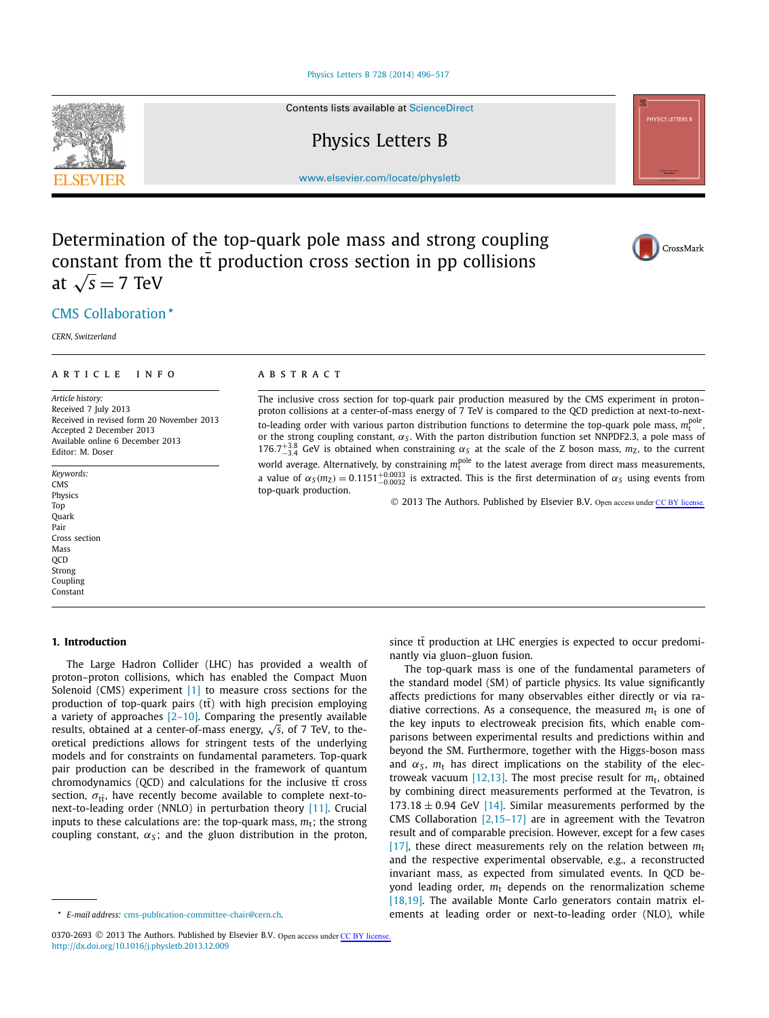#### [Physics Letters B 728 \(2014\) 496–517](http://dx.doi.org/10.1016/j.physletb.2013.12.009)

Contents lists available at [ScienceDirect](http://www.ScienceDirect.com/)

Physics Letters B

[www.elsevier.com/locate/physletb](http://www.elsevier.com/locate/physletb)

# Determination of the top-quark pole mass and strong coupling constant from the  $t\bar{t}$  production cross section in pp collisions at  $\sqrt{s}$  = 7 TeV

# [.CMS Collaboration](#page-6-0) *-*

*CERN, Switzerland*

#### article info abstract

*Article history:* Received 7 July 2013 Received in revised form 20 November 2013 Accepted 2 December 2013 Available online 6 December 2013 Editor: M. Doser

*Keywords:* CMS Physics Top Quark Pair Cross section Mass  $OCD$ Strong Coupling Constant

The inclusive cross section for top-quark pair production measured by the CMS experiment in proton– proton collisions at a center-of-mass energy of 7 TeV is compared to the QCD prediction at next-to-nextto-leading order with various parton distribution functions to determine the top-quark pole mass,  $m_t^{\rm pole}$ or the strong coupling constant,  $\alpha_s$ . With the parton distribution function set NNPDF2.3, a pole mass of 176.7<sup> $+3.8$ </sup> GeV is obtained when constraining  $\alpha_s$  at the scale of the Z boson mass,  $m_Z$ , to the current world average. Alternatively, by constraining  $m_{\rm t}^{\rm pole}$  to the latest average from direct mass measurements, a value of  $\alpha_S(m_Z) = 0.1151_{-0.0032}^{+0.0033}$  is extracted. This is the first determination of  $\alpha_S$  using events from top-quark production.

© 2013 The Authors. Published by Elsevier B.V. Open access under [CC BY license.](http://creativecommons.org/licenses/by/3.0/)

#### **1. Introduction**

The Large Hadron Collider (LHC) has provided a wealth of proton–proton collisions, which has enabled the Compact Muon Solenoid (CMS) experiment  $[1]$  to measure cross sections for the production of top-quark pairs ( $t\bar{t}$ ) with high precision employing a variety of approaches  $[2-10]$ . Comparing the presently available results, obtained at a center-of-mass energy,  $\sqrt{s}$ , of 7 TeV, to theoretical predictions allows for stringent tests of the underlying models and for constraints on fundamental parameters. Top-quark pair production can be described in the framework of quantum chromodynamics (QCD) and calculations for the inclusive  $t\bar{t}$  cross section,  $\sigma_{\bar{t}}$ , have recently become available to complete next-tonext-to-leading order (NNLO) in perturbation theory [\[11\].](#page-5-0) Crucial inputs to these calculations are: the top-quark mass,  $m_t$ ; the strong coupling constant,  $\alpha_s$ ; and the gluon distribution in the proton, since  $t\bar{t}$  production at LHC energies is expected to occur predominantly via gluon–gluon fusion.

The top-quark mass is one of the fundamental parameters of the standard model (SM) of particle physics. Its value significantly affects predictions for many observables either directly or via radiative corrections. As a consequence, the measured  $m_t$  is one of the key inputs to electroweak precision fits, which enable comparisons between experimental results and predictions within and beyond the SM. Furthermore, together with the Higgs-boson mass and  $\alpha_s$ ,  $m_t$  has direct implications on the stability of the elec-troweak vacuum [\[12,13\].](#page-5-0) The most precise result for  $m_t$ , obtained by combining direct measurements performed at the Tevatron, is 173.18  $\pm$  0.94 GeV [\[14\].](#page-5-0) Similar measurements performed by the CMS Collaboration  $[2,15-17]$  are in agreement with the Tevatron result and of comparable precision. However, except for a few cases [\[17\],](#page-5-0) these direct measurements rely on the relation between  $m_t$ and the respective experimental observable, e.g., a reconstructed invariant mass, as expected from simulated events. In QCD beyond leading order,  $m_t$  depends on the renormalization scheme [\[18,19\].](#page-5-0) The available Monte Carlo generators contain matrix elements at leading order or next-to-leading order (NLO), while

<span id="page-0-0"></span>



*<sup>-</sup> E-mail address:* [cms-publication-committee-chair@cern.ch](mailto:cms-publication-committee-chair@cern.ch).

<sup>0370-2693 © 2013</sup> The Authors. Published by Elsevier B.V. Open access under [CC BY license.](http://creativecommons.org/licenses/by/3.0/) <http://dx.doi.org/10.1016/j.physletb.2013.12.009>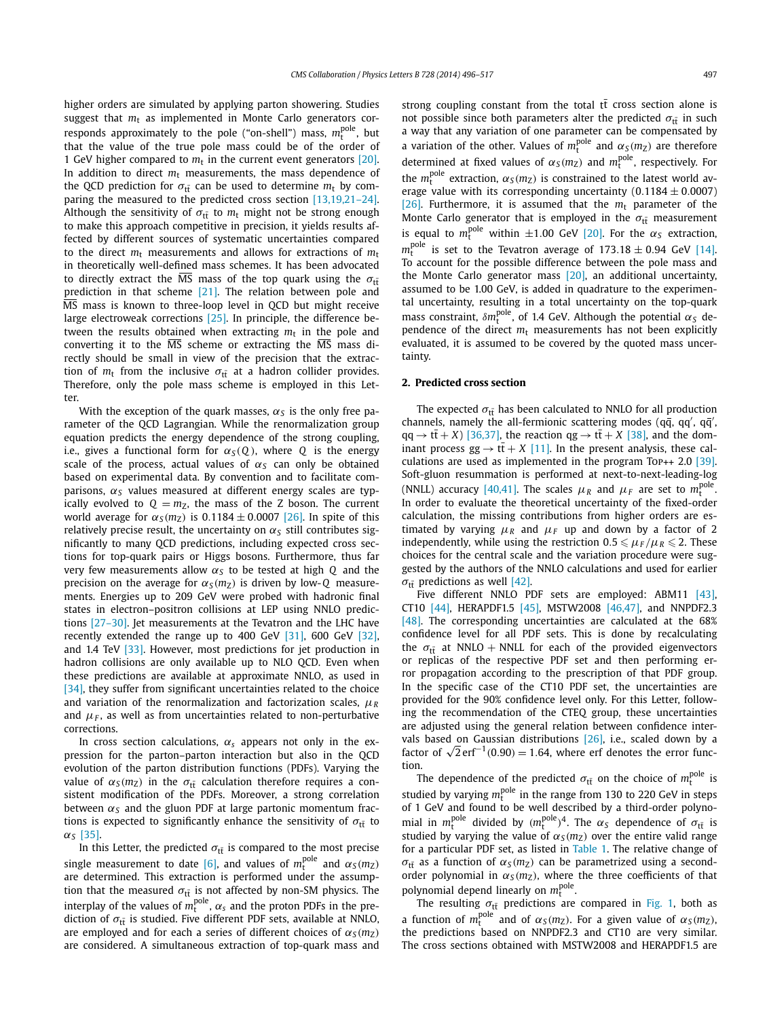<span id="page-1-0"></span>higher orders are simulated by applying parton showering. Studies suggest that  $m_t$  as implemented in Monte Carlo generators corresponds approximately to the pole ("on-shell") mass,  $m_{\mathrm{t}}^{\mathrm{pole}}$ , but that the value of the true pole mass could be of the order of 1 GeV higher compared to  $m_t$  in the current event generators [\[20\].](#page-5-0) In addition to direct  $m_t$  measurements, the mass dependence of the QCD prediction for  $\sigma_{\text{tf}}$  can be used to determine  $m_t$  by comparing the measured to the predicted cross section [\[13,19,21–24\].](#page-5-0) Although the sensitivity of  $\sigma_{\text{tf}}$  to  $m_t$  might not be strong enough to make this approach competitive in precision, it yields results affected by different sources of systematic uncertainties compared to the direct  $m_t$  measurements and allows for extractions of  $m_t$ in theoretically well-defined mass schemes. It has been advocated to directly extract the  $\overline{\text{MS}}$  mass of the top quark using the  $\sigma_{\text{tf}}$ prediction in that scheme [\[21\].](#page-5-0) The relation between pole and MS mass is known to three-loop level in QCD but might receive large electroweak corrections [\[25\].](#page-5-0) In principle, the difference between the results obtained when extracting  $m_t$  in the pole and converting it to the  $\overline{MS}$  scheme or extracting the  $\overline{MS}$  mass directly should be small in view of the precision that the extraction of  $m_t$  from the inclusive  $\sigma_{\text{tf}}$  at a hadron collider provides. Therefore, only the pole mass scheme is employed in this Letter.

With the exception of the quark masses,  $\alpha_s$  is the only free parameter of the QCD Lagrangian. While the renormalization group equation predicts the energy dependence of the strong coupling, i.e., gives a functional form for  $\alpha_S(Q)$ , where Q is the energy scale of the process, actual values of *α<sup>S</sup>* can only be obtained based on experimental data. By convention and to facilitate comparisons, *α<sup>S</sup>* values measured at different energy scales are typically evolved to  $Q = m_Z$ , the mass of the Z boson. The current world average for  $\alpha_S(m_Z)$  is 0.1184  $\pm$  0.0007 [\[26\].](#page-5-0) In spite of this relatively precise result, the uncertainty on  $\alpha_s$  still contributes significantly to many QCD predictions, including expected cross sections for top-quark pairs or Higgs bosons. Furthermore, thus far very few measurements allow  $\alpha$ <sup>*S*</sup> to be tested at high *Q* and the precision on the average for  $\alpha_s$  *(m<sub>Z</sub>*) is driven by low-*Q* measurements. Energies up to 209 GeV were probed with hadronic final states in electron–positron collisions at LEP using NNLO predictions [\[27–30\].](#page-5-0) Jet measurements at the Tevatron and the LHC have recently extended the range up to 400 GeV  $[31]$ , 600 GeV  $[32]$ , and 1.4 TeV [\[33\].](#page-6-0) However, most predictions for jet production in hadron collisions are only available up to NLO QCD. Even when these predictions are available at approximate NNLO, as used in [\[34\],](#page-6-0) they suffer from significant uncertainties related to the choice and variation of the renormalization and factorization scales, *μ<sup>R</sup>* and  $\mu_F$ , as well as from uncertainties related to non-perturbative corrections.

In cross section calculations,  $\alpha_s$  appears not only in the expression for the parton–parton interaction but also in the QCD evolution of the parton distribution functions (PDFs). Varying the value of  $α_S$ ( $m_Z$ ) in the  $σ_{t\bar{t}}$  calculation therefore requires a consistent modification of the PDFs. Moreover, a strong correlation between  $\alpha_5$  and the gluon PDF at large partonic momentum fractions is expected to significantly enhance the sensitivity of  $\sigma_{\text{tf}}$  to  $\alpha$ <sup>S</sup> [\[35\].](#page-6-0)

In this Letter, the predicted  $\sigma_{t\bar{t}}$  is compared to the most precise  $s$  ingle measurement to date [\[6\],](#page-5-0) and values of  $m_{\rm t}^{\rm pole}$  and  $\alpha_S(m_Z)$ are determined. This extraction is performed under the assumption that the measured  $\sigma_{t\bar{t}}$  is not affected by non-SM physics. The interplay of the values of  $m_{\rm t}^{\rm pole}$ ,  $\alpha_{\rm s}$  and the proton PDFs in the prediction of  $\sigma_{\text{tf}}$  is studied. Five different PDF sets, available at NNLO, are employed and for each a series of different choices of  $\alpha_S(m_Z)$ are considered. A simultaneous extraction of top-quark mass and strong coupling constant from the total  $t\bar{t}$  cross section alone is not possible since both parameters alter the predicted  $\sigma_{\text{tr}}$  in such a way that any variation of one parameter can be compensated by a variation of the other. Values of  $m_{t}^{\text{pole}}$  and  $\alpha_{S}(m_{Z})$  are therefore determined at fixed values of  $\alpha_S(m_Z)$  and  $m_t^{pole}$ , respectively. For the  $m_t^{pole}$  extraction,  $\alpha_S(m_Z)$  is constrained to the latest world average value with its corresponding uncertainty  $(0.1184 \pm 0.0007)$ [\[26\].](#page-5-0) Furthermore, it is assumed that the  $m_t$  parameter of the Monte Carlo generator that is employed in the  $\sigma_{\text{tf}}$  measurement is equal to  $m_{t}^{pole}$  within  $\pm 1.00$  GeV [\[20\].](#page-5-0) For the  $\alpha_{S}$  extraction,  $m_t^{\text{pole}}$  is set to the Tevatron average of 173.18  $\pm$  0.94 GeV [\[14\].](#page-5-0) To account for the possible difference between the pole mass and the Monte Carlo generator mass [\[20\],](#page-5-0) an additional uncertainty, assumed to be 1.00 GeV, is added in quadrature to the experimental uncertainty, resulting in a total uncertainty on the top-quark mass constraint,  $\delta m_{\rm t}^{\rm pole}$ , of 1.4 GeV. Although the potential  $\alpha_S$  dependence of the direct  $m_t$  measurements has not been explicitly evaluated, it is assumed to be covered by the quoted mass uncertainty.

#### **2. Predicted cross section**

The expected  $\sigma_{\text{tr}}$  has been calculated to NNLO for all production channels, namely the all-fermionic scattering modes ( $q\bar{q}$ ,  $q\bar{q}'$ ,  $q\bar{q}'$ ,  $qq \rightarrow t\bar{t} + X$  [\[36,37\],](#page-6-0) the reaction  $qg \rightarrow t\bar{t} + X$  [\[38\],](#page-6-0) and the dominant process  $gg \to t\bar{t} + X$  [\[11\].](#page-5-0) In the present analysis, these calculations are used as implemented in the program Top++ 2.0 [\[39\].](#page-6-0) Soft-gluon resummation is performed at next-to-next-leading-log (NNLL) accuracy [\[40,41\].](#page-6-0) The scales  $\mu_R$  and  $\mu_F$  are set to  $m_t^{\text{pole}}$ . In order to evaluate the theoretical uncertainty of the fixed-order calculation, the missing contributions from higher orders are estimated by varying  $\mu_R$  and  $\mu_F$  up and down by a factor of 2 independently, while using the restriction  $0.5 \leq \mu_F / \mu_R \leq 2$ . These choices for the central scale and the variation procedure were suggested by the authors of the NNLO calculations and used for earlier  $\sigma_{\text{t}}$  predictions as well [\[42\].](#page-6-0)

Five different NNLO PDF sets are employed: ABM11 [\[43\],](#page-6-0) CT10 [\[44\],](#page-6-0) HERAPDF1.5 [\[45\],](#page-6-0) MSTW2008 [\[46,47\],](#page-6-0) and NNPDF2.3 [\[48\].](#page-6-0) The corresponding uncertainties are calculated at the 68% confidence level for all PDF sets. This is done by recalculating the  $\sigma_{\text{tf}}$  at NNLO + NNLL for each of the provided eigenvectors or replicas of the respective PDF set and then performing error propagation according to the prescription of that PDF group. In the specific case of the CT10 PDF set, the uncertainties are provided for the 90% confidence level only. For this Letter, following the recommendation of the CTEQ group, these uncertainties are adjusted using the general relation between confidence intervals based on Gaussian distributions [\[26\],](#page-5-0) i.e., scaled down by a factor of  $\sqrt{2}$  erf<sup>-1</sup>(0.90) = 1.64, where erf denotes the error function.

The dependence of the predicted  $\sigma_{t\bar{t}}$  on the choice of  $m_t^{\text{pole}}$  is studied by varying  $m_{\rm t}^{\rm pole}$  in the range from 130 to 220 GeV in steps of 1 GeV and found to be well described by a third-order polynomial in  $m_t^{\text{pole}}$  divided by  $(m_t^{\text{pole}})^4$ . The  $\alpha_s$  dependence of  $\sigma_{\text{tr}}$  is studied by varying the value of  $\alpha_S(m_Z)$  over the entire valid range for a particular PDF set, as listed in [Table 1.](#page-2-0) The relative change of  $\sigma_{\text{tf}}$  as a function of  $\alpha_S(m_Z)$  can be parametrized using a secondorder polynomial in  $\alpha_S(m_Z)$ , where the three coefficients of that polynomial depend linearly on  $m_{t}^{\text{pole}}$ .

The resulting  $\sigma_{t\bar{t}}$  predictions are compared in [Fig. 1,](#page-2-0) both as a function of  $m_t^{pole}$  and of  $\alpha_S(m_Z)$ . For a given value of  $\alpha_S(m_Z)$ , the predictions based on NNPDF2.3 and CT10 are very similar. The cross sections obtained with MSTW2008 and HERAPDF1.5 are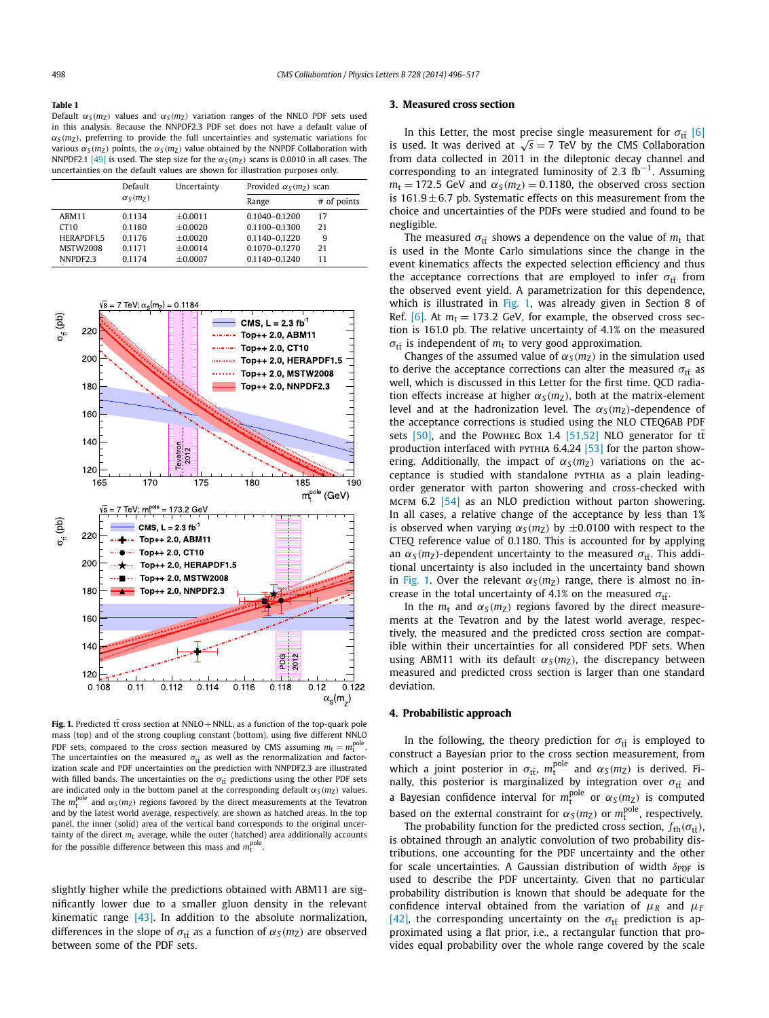#### <span id="page-2-0"></span>**Table 1**

Default  $\alpha_S(m_Z)$  values and  $\alpha_S(m_Z)$  variation ranges of the NNLO PDF sets used in this analysis. Because the NNPDF2.3 PDF set does not have a default value of  $\alpha s$  ( $mz$ ), preferring to provide the full uncertainties and systematic variations for various  $\alpha_S(m_Z)$  points, the  $\alpha_S(m_Z)$  value obtained by the NNPDF Collaboration with NNPDF2.1 [\[49\]](#page-6-0) is used. The step size for the  $\alpha_S(m_Z)$  scans is 0.0010 in all cases. The uncertainties on the default values are shown for illustration purposes only.

|                      | Default         | Uncertainty | Provided $\alpha_{\rm S}(m_7)$ scan |             |  |
|----------------------|-----------------|-------------|-------------------------------------|-------------|--|
|                      | $\alpha_S(m_Z)$ |             | Range                               | # of points |  |
| ABM11                | 0.1134          | $+0.0011$   | $0.1040 - 0.1200$                   | 17          |  |
| CT10                 | 0.1180          | $+0.0020$   | 0.1100-0.1300                       | 21          |  |
| HERAPDF1.5           | 0.1176          | $+0.0020$   | 0.1140-0.1220                       | 9           |  |
| <b>MSTW2008</b>      | 0.1171          | $+0.0014$   | 0.1070-0.1270                       | 21          |  |
| NNPDF <sub>2.3</sub> | 0.1174          | $+0.0007$   | $0.1140 - 0.1240$                   | 11          |  |



Fig. 1. Predicted tt cross section at NNLO  $+$  NNLL, as a function of the top-quark pole mass (top) and of the strong coupling constant (bottom), using five different NNLO PDF sets, compared to the cross section measured by CMS assuming  $m_t = m_t^{pole}$ . The uncertainties on the measured  $\sigma_{t\bar{t}}$  as well as the renormalization and factorization scale and PDF uncertainties on the prediction with NNPDF2.3 are illustrated with filled bands. The uncertainties on the  $\sigma_{\rm t\bar{t}}$  predictions using the other PDF sets are indicated only in the bottom panel at the corresponding default  $\alpha_S(m_Z)$  values. The  $m_{\rm t}^{\rm pole}$  and  $\alpha_S(m_Z)$  regions favored by the direct measurements at the Tevatron and by the latest world average, respectively, are shown as hatched areas. In the top panel, the inner (solid) area of the vertical band corresponds to the original uncertainty of the direct  $m_t$  average, while the outer (hatched) area additionally accounts for the possible difference between this mass and  $m_{\mathrm{t}}^{\mathrm{pole}}$ .

slightly higher while the predictions obtained with ABM11 are significantly lower due to a smaller gluon density in the relevant kinematic range [\[43\].](#page-6-0) In addition to the absolute normalization, differences in the slope of  $\sigma_{\rm tf}$  as a function of  $\alpha_S(m_Z)$  are observed between some of the PDF sets.

#### **3. Measured cross section**

In this Letter, the most precise single measurement for  $\sigma_{\text{tr}}$  [\[6\]](#page-5-0) is used. It was derived at  $\sqrt{s} = 7$  TeV by the CMS Collaboration from data collected in 2011 in the dileptonic decay channel and corresponding to an integrated luminosity of 2.3  $\text{fb}^{-1}$ . Assuming  $m<sub>t</sub> = 172.5$  GeV and  $\alpha<sub>S</sub>(m<sub>Z</sub>) = 0.1180$ , the observed cross section is 161*.*9±6*.*7 pb. Systematic effects on this measurement from the choice and uncertainties of the PDFs were studied and found to be negligible.

The measured  $\sigma_{\text{tf}}$  shows a dependence on the value of  $m_t$  that is used in the Monte Carlo simulations since the change in the event kinematics affects the expected selection efficiency and thus the acceptance corrections that are employed to infer  $\sigma_{\text{tf}}$  from the observed event yield. A parametrization for this dependence, which is illustrated in Fig. 1, was already given in Section 8 of Ref.  $[6]$ . At  $m_t = 173.2$  GeV, for example, the observed cross section is 161.0 pb. The relative uncertainty of 4.1% on the measured  $\sigma_{\text{tr}}$  is independent of  $m_t$  to very good approximation.

Changes of the assumed value of  $\alpha_S(m_Z)$  in the simulation used to derive the acceptance corrections can alter the measured  $\sigma_{\text{tr}}$  as well, which is discussed in this Letter for the first time. QCD radiation effects increase at higher  $\alpha_S(m_7)$ , both at the matrix-element level and at the hadronization level. The  $\alpha_S(m_Z)$ -dependence of the acceptance corrections is studied using the NLO CTEQ6AB PDF sets  $[50]$ , and the Powheg Box 1.4  $[51,52]$  NLO generator for tt production interfaced with PYTHIA  $6.4.24$  [\[53\]](#page-6-0) for the parton showering. Additionally, the impact of  $\alpha_S(m_Z)$  variations on the acceptance is studied with standalone PYTHIA as a plain leadingorder generator with parton showering and cross-checked with mcfm 6.2 [\[54\]](#page-6-0) as an NLO prediction without parton showering. In all cases, a relative change of the acceptance by less than 1% is observed when varying  $\alpha_S(m_Z)$  by  $\pm 0.0100$  with respect to the CTEQ reference value of 0.1180. This is accounted for by applying an  $\alpha_S(m_Z)$ -dependent uncertainty to the measured  $\sigma_{\text{tf}}$ . This additional uncertainty is also included in the uncertainty band shown in Fig. 1. Over the relevant  $\alpha_S(m_Z)$  range, there is almost no increase in the total uncertainty of 4.1% on the measured  $\sigma_{\text{tf}}$ .

In the  $m_t$  and  $\alpha_s(m_z)$  regions favored by the direct measurements at the Tevatron and by the latest world average, respectively, the measured and the predicted cross section are compatible within their uncertainties for all considered PDF sets. When using ABM11 with its default  $\alpha_S(m_Z)$ , the discrepancy between measured and predicted cross section is larger than one standard deviation.

#### **4. Probabilistic approach**

In the following, the theory prediction for  $\sigma_{\text{tf}}$  is employed to construct a Bayesian prior to the cross section measurement, from which a joint posterior in  $\sigma_{\text{tf}}$ ,  $m_{\text{t}}^{\text{pole}}$  and  $\alpha_{\text{S}}(m_{\text{Z}})$  is derived. Finally, this posterior is marginalized by integration over  $\sigma_{t\bar{t}}$  and a Bayesian confidence interval for  $m_t^{pole}$  or  $\alpha_S(m_Z)$  is computed based on the external constraint for  $\alpha_S(m_Z)$  or  $m_t^{pole}$ , respectively.

The probability function for the predicted cross section,  $f_{\text{th}}(\sigma_{\text{tf}})$ , is obtained through an analytic convolution of two probability distributions, one accounting for the PDF uncertainty and the other for scale uncertainties. A Gaussian distribution of width δ<sub>PDF</sub> is used to describe the PDF uncertainty. Given that no particular probability distribution is known that should be adequate for the confidence interval obtained from the variation of  $\mu_R$  and  $\mu_F$ [\[42\],](#page-6-0) the corresponding uncertainty on the  $\sigma_{t\bar{t}}$  prediction is approximated using a flat prior, i.e., a rectangular function that provides equal probability over the whole range covered by the scale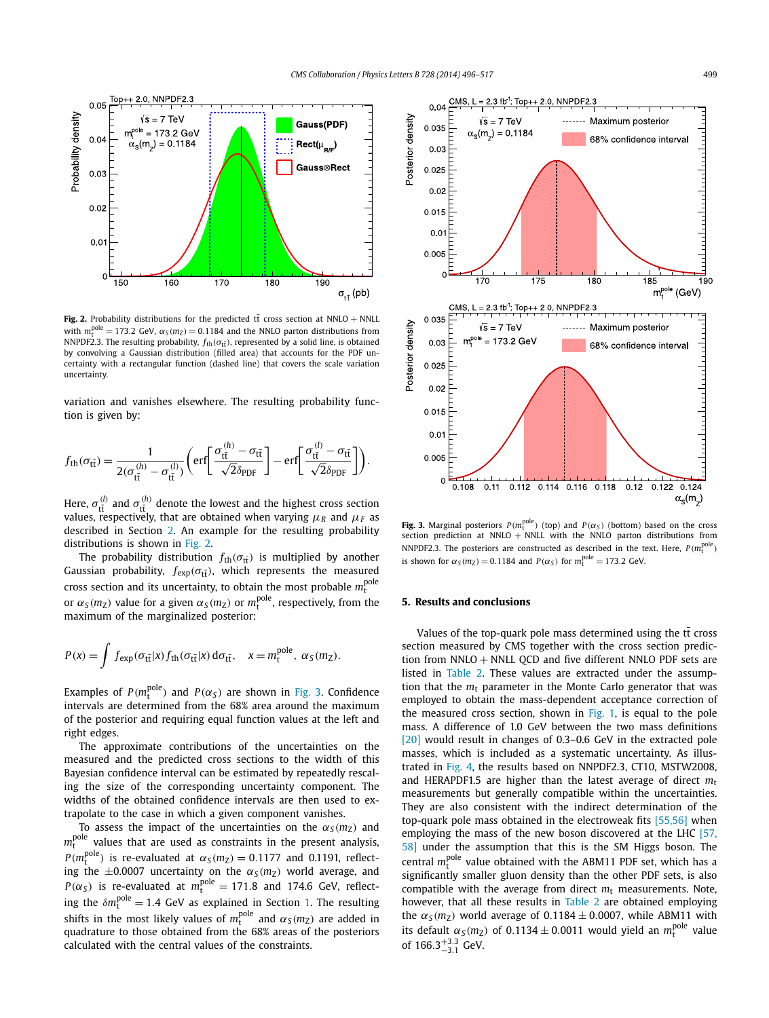

**Fig. 2.** Probability distributions for the predicted  $t\bar{t}$  cross section at NNLO + NNLL with  $m_t^{\text{pole}} = 173.2$  GeV,  $\alpha_S(m_Z) = 0.1184$  and the NNLO parton distributions from NNPDF2.3. The resulting probability,  $f_{\text{th}}(\sigma_{\text{tf}})$ , represented by a solid line, is obtained by convolving a Gaussian distribution (filled area) that accounts for the PDF uncertainty with a rectangular function (dashed line) that covers the scale variation uncertainty.

variation and vanishes elsewhere. The resulting probability function is given by:

$$
f_{\text{th}}(\sigma_{\text{t}\bar{\text{t}}}) = \frac{1}{2(\sigma_{\text{t}\bar{\text{t}}}^{(h)} - \sigma_{\text{t}\bar{\text{t}}}^{(l)})} \bigg( \text{erf} \bigg[ \frac{\sigma_{\text{t}\bar{\text{t}}}^{(h)} - \sigma_{\text{t}\bar{\text{t}}}}{\sqrt{2} \delta_{\text{PDF}}} \bigg] - \text{erf} \bigg[ \frac{\sigma_{\text{t}\bar{\text{t}}}^{(l)} - \sigma_{\text{t}\bar{\text{t}}}}{\sqrt{2} \delta_{\text{PDF}}} \bigg] \bigg).
$$

Here,  $\sigma_{\rm t\bar t}^{(l)}$  and  $\sigma_{\rm t\bar t}^{(h)}$  denote the lowest and the highest cross section values, respectively, that are obtained when varying  $\mu_R$  and  $\mu_F$  as described in Section [2.](#page-1-0) An example for the resulting probability distributions is shown in Fig. 2.

The probability distribution  $f_{\text{th}}(\sigma_{\text{tr}})$  is multiplied by another Gaussian probability,  $f_{\text{exp}}(\sigma_{\text{tf}})$ , which represents the measured cross section and its uncertainty, to obtain the most probable  $m_t^{\rm pole}$ or  $\alpha_S(m_Z)$  value for a given  $\alpha_S(m_Z)$  or  $m_t^{\rm pole}$ , respectively, from the maximum of the marginalized posterior:

$$
P(x) = \int f_{\exp}(\sigma_{t\bar{t}}|x) f_{\text{th}}(\sigma_{t\bar{t}}|x) d\sigma_{t\bar{t}}, \quad x = m_t^{\text{pole}}, \ \alpha_S(m_Z).
$$

Examples of  $P(m_t^{\rm pole})$  and  $P(\alpha_S)$  are shown in Fig. 3. Confidence intervals are determined from the 68% area around the maximum of the posterior and requiring equal function values at the left and right edges.

The approximate contributions of the uncertainties on the measured and the predicted cross sections to the width of this Bayesian confidence interval can be estimated by repeatedly rescaling the size of the corresponding uncertainty component. The widths of the obtained confidence intervals are then used to extrapolate to the case in which a given component vanishes.

To assess the impact of the uncertainties on the  $\alpha_S(m_Z)$  and  $m_{\rm t}^{\rm pole}$  values that are used as constraints in the present analysis,  $P(m_t^{\text{pole}})$  is re-evaluated at  $\alpha_s(m_Z) = 0.1177$  and 0.1191, reflecting the  $\pm$ 0.0007 uncertainty on the  $\alpha$ <sub>S</sub>( $m$ <sub>Z</sub>) world average, and  $P(\alpha_S)$  is re-evaluated at  $m_{\text{t}}^{\text{pole}} = 171.8$  and 174.6 GeV, reflecting the  $\delta m_{\text{t}}^{\text{pole}} = 1.4$  $\delta m_{\text{t}}^{\text{pole}} = 1.4$  $\delta m_{\text{t}}^{\text{pole}} = 1.4$  GeV as explained in Section 1. The resulting shifts in the most likely values of  $m_{\rm t}^{\rm pole}$  and  $\alpha_S(m_Z)$  are added in quadrature to those obtained from the 68% areas of the posteriors calculated with the central values of the constraints.



**Fig. 3.** Marginal posteriors  $P(m_t^{pole})$  (top) and  $P(\alpha_S)$  (bottom) based on the cross section prediction at NNLO + NNLL with the NNLO parton distributions from NNPDF2.3. The posteriors are constructed as described in the text. Here,  $P(m_t^{\text{pole}})$ is shown for  $\alpha_S(m_Z) = 0.1184$  and  $P(\alpha_S)$  for  $m_t^{\text{pole}} = 173.2$  GeV.

#### **5. Results and conclusions**

Values of the top-quark pole mass determined using the tt cross section measured by CMS together with the cross section prediction from NNLO + NNLL QCD and five different NNLO PDF sets are listed in [Table 2.](#page-4-0) These values are extracted under the assumption that the  $m_t$  parameter in the Monte Carlo generator that was employed to obtain the mass-dependent acceptance correction of the measured cross section, shown in [Fig. 1,](#page-2-0) is equal to the pole mass. A difference of 1.0 GeV between the two mass definitions [\[20\]](#page-5-0) would result in changes of 0.3–0.6 GeV in the extracted pole masses, which is included as a systematic uncertainty. As illustrated in [Fig. 4,](#page-4-0) the results based on NNPDF2.3, CT10, MSTW2008, and HERAPDF1.5 are higher than the latest average of direct  $m_t$ measurements but generally compatible within the uncertainties. They are also consistent with the indirect determination of the top-quark pole mass obtained in the electroweak fits [\[55,56\]](#page-6-0) when employing the mass of the new boson discovered at the LHC [\[57,](#page-6-0) [58\]](#page-6-0) under the assumption that this is the SM Higgs boson. The central  $m_{\rm t}^{\rm pole}$  value obtained with the ABM11 PDF set, which has a significantly smaller gluon density than the other PDF sets, is also compatible with the average from direct  $m_t$  measurements. Note, however, that all these results in [Table 2](#page-4-0) are obtained employing the  $\alpha_S(m_Z)$  world average of 0.1184  $\pm$  0.0007, while ABM11 with its default  $\alpha_S(m_Z)$  of 0.1134  $\pm$  0.0011 would yield an  $m_t^{\text{pole}}$  value of  $166.3^{+3.3}_{-3.1}$  GeV.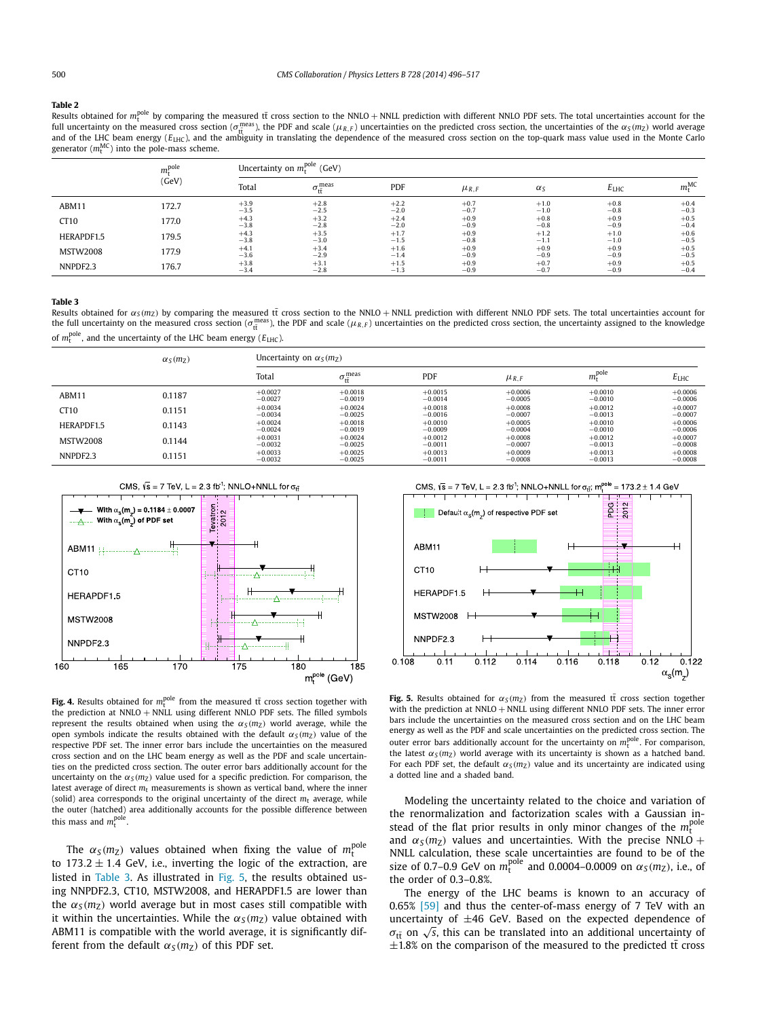#### <span id="page-4-0"></span>**Table 2**

Results obtained for  $m_t^{\text{pole}}$  by comparing the measured tt cross section to the NNLO + NNLL prediction with different NNLO PDF sets. The total uncertainties account for the full uncertainty on the measured cross section ( $\sigma_{\rm{t\bar{t}}}^{\rm{me}}$  on ( $\sigma_{\rm{t\bar{t}}}^{\rm{meas}}$ ), the PDF and scale ( $\mu_{R,F}$ ) uncertainties on the predicted cross section, the uncertainties of the  $\alpha_S(m_Z)$  world average<br>a generator  $(m_t^{\text{MC}})$  into the pole-mass scheme.

|                  | $m_{\rm t}^{\rm pole}$<br>(GeV) | Uncertainty on $m_t^{pole}$ (GeV) |                                    |                  |                  |                  |                  |                  |
|------------------|---------------------------------|-----------------------------------|------------------------------------|------------------|------------------|------------------|------------------|------------------|
|                  |                                 | Total                             | $\sigma_{\rm t\bar{t}}^{\rm meas}$ | <b>PDF</b>       | $\mu_{R,F}$      | $\alpha_{S}$     | $E_{LHC}$        | $m+MC$           |
| ABM11            | 172.7                           | $+3.9$<br>$-3.5$                  | $+2.8$<br>$-2.5$                   | $+2.2$<br>$-2.0$ | $+0.7$<br>$-0.7$ | $+1.0$<br>$-1.0$ | $+0.8$<br>$-0.8$ | $+0.4$<br>$-0.3$ |
| CT <sub>10</sub> | 177.0                           | $+4.3$<br>$-3.8$                  | $+3.2$<br>$-2.8$                   | $+2.4$<br>$-2.0$ | $+0.9$<br>$-0.9$ | $+0.8$<br>$-0.8$ | $+0.9$<br>$-0.9$ | $+0.5$<br>$-0.4$ |
| HERAPDF1.5       | 179.5                           | $+4.3$<br>$-3.8$                  | $+3.5$<br>$-3.0$                   | $+1.7$<br>$-1.5$ | $+0.9$<br>$-0.8$ | $+1.2$<br>$-1.1$ | $+1.0$<br>$-1.0$ | $+0.6$<br>$-0.5$ |
| <b>MSTW2008</b>  | 177.9                           | $+4.1$<br>$-3.6$                  | $+3.4$<br>$-2.9$                   | $+1.6$<br>$-1.4$ | $+0.9$<br>$-0.9$ | $+0.9$<br>$-0.9$ | $+0.9$<br>$-0.9$ | $+0.5$<br>$-0.5$ |
| NNPDF2.3         | 176.7                           | $+3.8$<br>$-3.4$                  | $+3.1$<br>$-2.8$                   | $+1.5$<br>$-1.3$ | $+0.9$<br>$-0.9$ | $+0.7$<br>$-0.7$ | $+0.9$<br>$-0.9$ | $+0.5$<br>$-0.4$ |

#### **Table 3**

Results obtained for  $\alpha_S(m_Z)$  by comparing the measured tt cross section to the NNLO + NNLL prediction with different NNLO PDF sets. The total uncertainties account for the full uncertainty on the measured cross section ( $\sigma_{\rm t\bar{t}}^{\rm meas}$ ), the PDF and scale ( $\mu_{R,F}$ ) uncertainties on the predicted cross section, the uncertainty assigned to the knowledge of  $m_{\rm t}^{\rm pole}$ , and the uncertainty of the LHC beam energy ( $E_{\rm LHC}$ ).

|                  | $\alpha_{\rm S}(m_{\rm Z})$ | Uncertainty on $\alpha_S(m_Z)$ |                                              |                        |                        |                        |                        |
|------------------|-----------------------------|--------------------------------|----------------------------------------------|------------------------|------------------------|------------------------|------------------------|
|                  |                             | Total                          | $\sigma_{\mathrm{t\bar{t}}}^{\mathrm{meas}}$ | <b>PDF</b>             | $\mu_{R,F}$            | $m_{\rm t}^{\rm pole}$ | $E_{LHC}$              |
| ABM11            | 0.1187                      | $+0.0027$<br>$-0.0027$         | $+0.0018$<br>$-0.0019$                       | $+0.0015$<br>$-0.0014$ | $+0.0006$<br>$-0.0005$ | $+0.0010$<br>$-0.0010$ | $+0.0006$<br>$-0.0006$ |
| CT <sub>10</sub> | 0.1151                      | $+0.0034$<br>$-0.0034$         | $+0.0024$<br>$-0.0025$                       | $+0.0018$<br>$-0.0016$ | $+0.0008$<br>$-0.0007$ | $+0.0012$<br>$-0.0013$ | $+0.0007$<br>$-0.0007$ |
| HERAPDF1.5       | 0.1143                      | $+0.0024$<br>$-0.0024$         | $+0.0018$<br>$-0.0019$                       | $+0.0010$<br>$-0.0009$ | $+0.0005$<br>$-0.0004$ | $+0.0010$<br>$-0.0010$ | $+0.0006$<br>$-0.0006$ |
| <b>MSTW2008</b>  | 0.1144                      | $+0.0031$<br>$-0.0032$         | $+0.0024$<br>$-0.0025$                       | $+0.0012$<br>$-0.0011$ | $+0.0008$<br>$-0.0007$ | $+0.0012$<br>$-0.0013$ | $+0.0007$<br>$-0.0008$ |
| NNPDF2.3         | 0.1151                      | $+0.0033$<br>$-0.0032$         | $+0.0025$<br>$-0.0025$                       | $+0.0013$<br>$-0.0011$ | $+0.0009$<br>$-0.0008$ | $+0.0013$<br>$-0.0013$ | $+0.0008$<br>$-0.0008$ |



Fig. 4. Results obtained for  $m_t^{\text{pole}}$  from the measured tt cross section together with the prediction at NNLO + NNLL using different NNLO PDF sets. The filled symbols represent the results obtained when using the  $\alpha_S(m_Z)$  world average, while the open symbols indicate the results obtained with the default  $\alpha_S(m_Z)$  value of the respective PDF set. The inner error bars include the uncertainties on the measured cross section and on the LHC beam energy as well as the PDF and scale uncertainties on the predicted cross section. The outer error bars additionally account for the uncertainty on the *α<sup>S</sup> (m*Z*)* value used for a specific prediction. For comparison, the latest average of direct  $m_t$  measurements is shown as vertical band, where the inner (solid) area corresponds to the original uncertainty of the direct  $m_t$  average, while the outer (hatched) area additionally accounts for the possible difference between this mass and  $m_{\rm t}^{\rm pole}$ .

The  $\alpha_S(m_Z)$  values obtained when fixing the value of  $m_t^{\text{pole}}$ to  $173.2 \pm 1.4$  GeV, i.e., inverting the logic of the extraction, are listed in Table 3. As illustrated in Fig. 5, the results obtained using NNPDF2.3, CT10, MSTW2008, and HERAPDF1.5 are lower than the  $\alpha_S(m_Z)$  world average but in most cases still compatible with it within the uncertainties. While the  $\alpha_5(m_Z)$  value obtained with ABM11 is compatible with the world average, it is significantly different from the default  $\alpha_S(m_Z)$  of this PDF set.

CMS,  $\sqrt{s}$  = 7 TeV, L = 2.3 fb<sup>-1</sup>; NNLO+NNLL for  $\sigma_{\text{rf}}$ ; m<sup>pole</sup> = 173.2 ± 1.4 GeV



**Fig. 5.** Results obtained for  $\alpha_S(m_Z)$  from the measured tt cross section together with the prediction at NNLO + NNLL using different NNLO PDF sets. The inner error bars include the uncertainties on the measured cross section and on the LHC beam energy as well as the PDF and scale uncertainties on the predicted cross section. The outer error bars additionally account for the uncertainty on  $m_t^{pole}$ . For comparison, the latest  $\alpha_S(m_Z)$  world average with its uncertainty is shown as a hatched band. For each PDF set, the default  $\alpha_S(m_Z)$  value and its uncertainty are indicated using a dotted line and a shaded band.

Modeling the uncertainty related to the choice and variation of the renormalization and factorization scales with a Gaussian instead of the flat prior results in only minor changes of the  $m_t^{\text{pole}}$ and  $\alpha_S(m_Z)$  values and uncertainties. With the precise NNLO + NNLL calculation, these scale uncertainties are found to be of the size of 0.7–0.9 GeV on  $m_t^{pole}$  and 0.0004–0.0009 on  $\alpha_s(m_z)$ , i.e., of the order of 0.3–0.8%.

The energy of the LHC beams is known to an accuracy of 0.65% [\[59\]](#page-6-0) and thus the center-of-mass energy of 7 TeV with an uncertainty of  $\pm 46$  GeV. Based on the expected dependence of  $\sigma_{\text{tf}}$  on  $\sqrt{s}$ , this can be translated into an additional uncertainty of  $\pm 1.8\%$  on the comparison of the measured to the predicted tt cross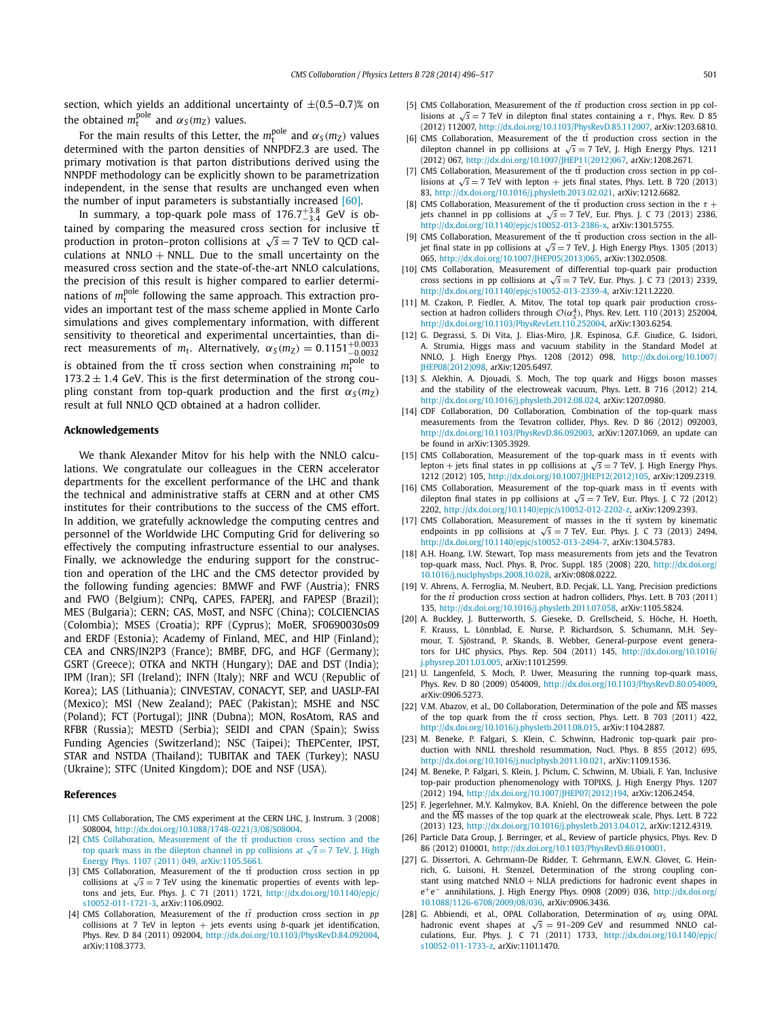<span id="page-5-0"></span>section, which yields an additional uncertainty of  $\pm (0.5-0.7)$ % on the obtained  $m_t^{\text{pole}}$  and  $\alpha_S(m_Z)$  values.

For the main results of this Letter, the  $m_{\rm t}^{\rm pole}$  and  $\alpha_{\rm S}(m_{\rm Z})$  values determined with the parton densities of NNPDF2.3 are used. The primary motivation is that parton distributions derived using the NNPDF methodology can be explicitly shown to be parametrization independent, in the sense that results are unchanged even when the number of input parameters is substantially increased [\[60\].](#page-6-0)

In summary, a top-quark pole mass of  $176.7^{+3.8}_{-3.4}$  GeV is obtained by comparing the measured cross section for inclusive tt production in proton–proton collisions at  $\sqrt{s}$  = 7 TeV to QCD calculations at NNLO  $+$  NNLL. Due to the small uncertainty on the measured cross section and the state-of-the-art NNLO calculations, the precision of this result is higher compared to earlier determinations of  $m_{\rm t}^{\rm pole}$  following the same approach. This extraction provides an important test of the mass scheme applied in Monte Carlo simulations and gives complementary information, with different sensitivity to theoretical and experimental uncertainties, than direct measurements of  $m_t$ . Alternatively,  $\alpha_S(m_Z) = 0.1151^{+0.0033}_{-0.0032}$ is obtained from the tt cross section when constraining  $m_{\rm t}^{\rm pole}$  to  $173.2 \pm 1.4$  GeV. This is the first determination of the strong coupling constant from top-quark production and the first  $\alpha_S(m_Z)$ result at full NNLO QCD obtained at a hadron collider.

#### **Acknowledgements**

We thank Alexander Mitov for his help with the NNLO calculations. We congratulate our colleagues in the CERN accelerator departments for the excellent performance of the LHC and thank the technical and administrative staffs at CERN and at other CMS institutes for their contributions to the success of the CMS effort. In addition, we gratefully acknowledge the computing centres and personnel of the Worldwide LHC Computing Grid for delivering so effectively the computing infrastructure essential to our analyses. Finally, we acknowledge the enduring support for the construction and operation of the LHC and the CMS detector provided by the following funding agencies: BMWF and FWF (Austria); FNRS and FWO (Belgium); CNPq, CAPES, FAPERJ, and FAPESP (Brazil); MES (Bulgaria); CERN; CAS, MoST, and NSFC (China); COLCIENCIAS (Colombia); MSES (Croatia); RPF (Cyprus); MoER, SF0690030s09 and ERDF (Estonia); Academy of Finland, MEC, and HIP (Finland); CEA and CNRS/IN2P3 (France); BMBF, DFG, and HGF (Germany); GSRT (Greece); OTKA and NKTH (Hungary); DAE and DST (India); IPM (Iran); SFI (Ireland); INFN (Italy); NRF and WCU (Republic of Korea); LAS (Lithuania); CINVESTAV, CONACYT, SEP, and UASLP-FAI (Mexico); MSI (New Zealand); PAEC (Pakistan); MSHE and NSC (Poland); FCT (Portugal); JINR (Dubna); MON, RosAtom, RAS and RFBR (Russia); MESTD (Serbia); SEIDI and CPAN (Spain); Swiss Funding Agencies (Switzerland); NSC (Taipei); ThEPCenter, IPST, STAR and NSTDA (Thailand); TUBITAK and TAEK (Turkey); NASU (Ukraine); STFC (United Kingdom); DOE and NSF (USA).

#### **References**

- [1] CMS Collaboration, The CMS experiment at the CERN LHC, J. Instrum. 3 (2008) S08004, <http://dx.doi.org/10.1088/1748-0221/3/08/S08004>.
- [2] CMS Collaboration, Measurement of the  $t\bar{t}$  production cross section and the [top quark mass in the dilepton channel in pp collisions at](http://refhub.elsevier.com/S0370-2693(13)00984-2/bib4368617472636879616E3A323031316E62s1)  $\sqrt{s}$  = 7 TeV, J. High [Energy Phys. 1107 \(2011\) 049, arXiv:1105.5661.](http://refhub.elsevier.com/S0370-2693(13)00984-2/bib4368617472636879616E3A323031316E62s1)
- [3] CMS Collaboration, Measurement of the tt production cross section in pp collisions at  $\sqrt{s}$  = 7 TeV using the kinematic properties of events with leptons and jets, Eur. Phys. J. C 71 (2011) 1721, [http://dx.doi.org/10.1140/epjc/](http://dx.doi.org/10.1140/epjc/s10052-011-1721-3) [s10052-011-1721-3,](http://dx.doi.org/10.1140/epjc/s10052-011-1721-3) arXiv:1106.0902.
- [4] CMS Collaboration, Measurement of the *tt*¯ production cross section in *pp* collisions at 7 TeV in lepton + jets events using *b*-quark jet identification, Phys. Rev. D 84 (2011) 092004, <http://dx.doi.org/10.1103/PhysRevD.84.092004>, arXiv:1108.3773.
- [5] CMS Collaboration, Measurement of the  $t\bar{t}$  production cross section in pp collisions at  $\sqrt{s}$  = 7 TeV in dilepton final states containing a  $\tau$ , Phys. Rev. D 85 (2012) 112007, <http://dx.doi.org/10.1103/PhysRevD.85.112007>, arXiv:1203.6810.
- [6] CMS Collaboration, Measurement of the  $t\bar{t}$  production cross section in the dilepton channel in pp collisions at  $\sqrt{s} = 7$  TeV, J. High Energy Phys. 1211 (2012) 067, [http://dx.doi.org/10.1007/JHEP11\(2012\)067,](http://dx.doi.org/10.1007/JHEP11(2012)067) arXiv:1208.2671.
- [7] CMS Collaboration, Measurement of the  $t\bar{t}$  production cross section in pp collisions at  $\sqrt{s}$  = 7 TeV with lepton + jets final states, Phys. Lett. B 720 (2013) 83, <http://dx.doi.org/10.1016/j.physletb.2013.02.021>, arXiv:1212.6682.
- [8] CMS Collaboration, Measurement of the tt production cross section in the  $\tau$  + jets channel in pp collisions at  $\sqrt{s} = 7$  TeV, Eur. Phys. I. C 73 (2013) 2386. [http://dx.doi.org/10.1140/epjc/s10052-013-2386-x,](http://dx.doi.org/10.1140/epjc/s10052-013-2386-x) arXiv:1301.5755.
- [9] CMS Collaboration, Measurement of the  $t\bar{t}$  production cross section in the alljet final state in pp collisions at  $\sqrt{s}$  = 7 TeV, J. High Energy Phys. 1305 (2013) 065, [http://dx.doi.org/10.1007/JHEP05\(2013\)065,](http://dx.doi.org/10.1007/JHEP05(2013)065) arXiv:1302.0508.
- [10] CMS Collaboration, Measurement of differential top-quark pair production cross sections in pp collisions at  $\sqrt{s} = 7$  TeV, Eur. Phys. J. C 73 (2013) 2339, <http://dx.doi.org/10.1140/epjc/s10052-013-2339-4>, arXiv:1211.2220.
- [11] M. Czakon, P. Fiedler, A. Mitov, The total top quark pair production crosssection at hadron colliders through  $O(\alpha_s^4)$ , Phys. Rev. Lett. 110 (2013) 252004, <http://dx.doi.org/10.1103/PhysRevLett.110.252004>, arXiv:1303.6254.
- [12] G. Degrassi, S. Di Vita, J. Elias-Miro, J.R. Espinosa, G.F. Giudice, G. Isidori, A. Strumia, Higgs mass and vacuum stability in the Standard Model at NNLO, J. High Energy Phys. 1208 (2012) 098, [http://dx.doi.org/10.1007/](http://dx.doi.org/10.1007/JHEP08(2012)098) [JHEP08\(2012\)098](http://dx.doi.org/10.1007/JHEP08(2012)098), arXiv:1205.6497.
- [13] S. Alekhin, A. Djouadi, S. Moch, The top quark and Higgs boson masses and the stability of the electroweak vacuum, Phys. Lett. B 716 (2012) 214, <http://dx.doi.org/10.1016/j.physletb.2012.08.024>, arXiv:1207.0980.
- [14] CDF Collaboration, D0 Collaboration, Combination of the top-quark mass measurements from the Tevatron collider, Phys. Rev. D 86 (2012) 092003, <http://dx.doi.org/10.1103/PhysRevD.86.092003>, arXiv:1207.1069, an update can be found in arXiv:1305.3929.
- [15] CMS Collaboration, Measurement of the top-quark mass in tt events with lepton + jets final states in pp collisions at  $\sqrt{s}$  = 7 TeV, J. High Energy Phys. 1212 (2012) 105, [http://dx.doi.org/10.1007/JHEP12\(2012\)105,](http://dx.doi.org/10.1007/JHEP12(2012)105) arXiv:1209.2319.
- [16] CMS Collaboration, Measurement of the top-quark mass in  $t\bar{t}$  events with dilepton final states in pp collisions at  $\sqrt{s} = 7$  TeV, Eur. Phys. J. C 72 (2012) 2202, <http://dx.doi.org/10.1140/epjc/s10052-012-2202-z>, arXiv:1209.2393.
- [17] CMS Collaboration, Measurement of masses in the  $t\bar{t}$  system by kinematic endpoints in pp collisions at  $\sqrt{s}$  = 7 TeV, Eur. Phys. J. C 73 (2013) 2494, <http://dx.doi.org/10.1140/epjc/s10052-013-2494-7>, arXiv:1304.5783.
- [18] A.H. Hoang, I.W. Stewart, Top mass measurements from jets and the Tevatron top-quark mass, Nucl. Phys. B, Proc. Suppl. 185 (2008) 220, [http://dx.doi.org/](http://dx.doi.org/10.1016/j.nuclphysbps.2008.10.028) [10.1016/j.nuclphysbps.2008.10.028,](http://dx.doi.org/10.1016/j.nuclphysbps.2008.10.028) arXiv:0808.0222.
- [19] V. Ahrens, A. Ferroglia, M. Neubert, B.D. Pecjak, L.L. Yang, Precision predictions for the  $t\bar{t}$  production cross section at hadron colliders, Phys. Lett. B 703 (2011) 135, [http://dx.doi.org/10.1016/j.physletb.2011.07.058,](http://dx.doi.org/10.1016/j.physletb.2011.07.058) arXiv:1105.5824.
- [20] A. Buckley, J. Butterworth, S. Gieseke, D. Grellscheid, S. Höche, H. Hoeth, F. Krauss, L. Lönnblad, E. Nurse, P. Richardson, S. Schumann, M.H. Seymour, T. Sjöstrand, P. Skands, B. Webber, General-purpose event generators for LHC physics, Phys. Rep. 504 (2011) 145, [http://dx.doi.org/10.1016/](http://dx.doi.org/10.1016/j.physrep.2011.03.005) [j.physrep.2011.03.005](http://dx.doi.org/10.1016/j.physrep.2011.03.005), arXiv:1101.2599.
- [21] U. Langenfeld, S. Moch, P. Uwer, Measuring the running top-quark mass, Phys. Rev. D 80 (2009) 054009, <http://dx.doi.org/10.1103/PhysRevD.80.054009>, arXiv:0906.5273.
- [22] V.M. Abazov, et al., D0 Collaboration, Determination of the pole and  $\overline{\text{MS}}$  masses of the top quark from the  $t\bar{t}$  cross section, Phys. Lett. B 703 (2011) 422, [http://dx.doi.org/10.1016/j.physletb.2011.08.015,](http://dx.doi.org/10.1016/j.physletb.2011.08.015) arXiv:1104.2887.
- [23] M. Beneke, P. Falgari, S. Klein, C. Schwinn, Hadronic top-quark pair production with NNLL threshold resummation, Nucl. Phys. B 855 (2012) 695, <http://dx.doi.org/10.1016/j.nuclphysb.2011.10.021>, arXiv:1109.1536.
- [24] M. Beneke, P. Falgari, S. Klein, J. Piclum, C. Schwinn, M. Ubiali, F. Yan, Inclusive top-pair production phenomenology with TOPIXS, J. High Energy Phys. 1207 (2012) 194, [http://dx.doi.org/10.1007/JHEP07\(2012\)194,](http://dx.doi.org/10.1007/JHEP07(2012)194) arXiv:1206.2454.
- [25] F. Jegerlehner, M.Y. Kalmykov, B.A. Kniehl, On the difference between the pole and the  $\overline{\text{MS}}$  masses of the top quark at the electroweak scale. Phys. Lett. B 722 (2013) 123, [http://dx.doi.org/10.1016/j.physletb.2013.04.012,](http://dx.doi.org/10.1016/j.physletb.2013.04.012) arXiv:1212.4319.
- [26] Particle Data Group, J. Berringer, et al., Review of particle physics, Phys. Rev. D 86 (2012) 010001, <http://dx.doi.org/10.1103/PhysRevD.86.010001>.
- [27] G. Dissertori, A. Gehrmann-De Ridder, T. Gehrmann, E.W.N. Glover, G. Heinrich, G. Luisoni, H. Stenzel, Determination of the strong coupling constant using matched NNLO  $+$  NLLA predictions for hadronic event shapes in e+e− annihilations, J. High Energy Phys. 0908 (2009) 036, [http://dx.doi.org/](http://dx.doi.org/10.1088/1126-6708/2009/08/036) [10.1088/1126-6708/2009/08/036](http://dx.doi.org/10.1088/1126-6708/2009/08/036), arXiv:0906.3436.
- [28] G. Abbiendi, et al., OPAL Collaboration, Determination of  $\alpha_S$  using OPAL hadronic event shapes at  $\sqrt{s}$  = 91–209 GeV and resummed NNLO calculations, Eur. Phys. J. C 71 (2011) 1733, [http://dx.doi.org/10.1140/epjc/](http://dx.doi.org/10.1140/epjc/s10052-011-1733-z) [s10052-011-1733-z](http://dx.doi.org/10.1140/epjc/s10052-011-1733-z), arXiv:1101.1470.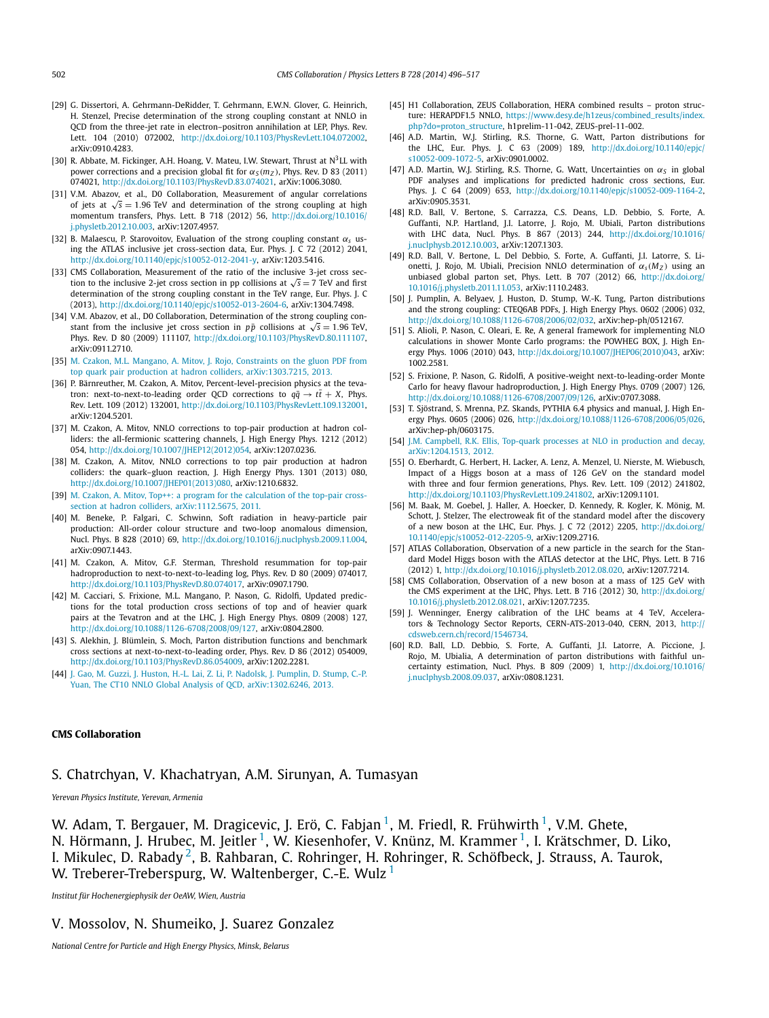- <span id="page-6-0"></span>[29] G. Dissertori, A. Gehrmann-DeRidder, T. Gehrmann, E.W.N. Glover, G. Heinrich, H. Stenzel, Precise determination of the strong coupling constant at NNLO in QCD from the three-jet rate in electron–positron annihilation at LEP, Phys. Rev. Lett. 104 (2010) 072002, <http://dx.doi.org/10.1103/PhysRevLett.104.072002>, arXiv:0910.4283.
- [30] R. Abbate, M. Fickinger, A.H. Hoang, V. Mateu, I.W. Stewart, Thrust at  $N^3LL$  with power corrections and a precision global fit for  $\alpha_S(m_Z)$ , Phys. Rev. D 83 (2011) 074021, [http://dx.doi.org/10.1103/PhysRevD.83.074021,](http://dx.doi.org/10.1103/PhysRevD.83.074021) arXiv:1006.3080.
- [31] V.M. Abazov, et al., D0 Collaboration, Measurement of angular correlations of jets at  $\sqrt{s}$  = 1.96 TeV and determination of the strong coupling at high momentum transfers, Phys. Lett. B 718 (2012) 56, [http://dx.doi.org/10.1016/](http://dx.doi.org/10.1016/j.physletb.2012.10.003) [j.physletb.2012.10.003](http://dx.doi.org/10.1016/j.physletb.2012.10.003), arXiv:1207.4957.
- [32] B. Malaescu, P. Starovoitov, Evaluation of the strong coupling constant *α<sup>s</sup>* using the ATLAS inclusive jet cross-section data, Eur. Phys. J. C 72 (2012) 2041, <http://dx.doi.org/10.1140/epjc/s10052-012-2041-y>, arXiv:1203.5416.
- [33] CMS Collaboration, Measurement of the ratio of the inclusive 3-jet cross section to the inclusive 2-jet cross section in pp collisions at  $\sqrt{s}$  = 7 TeV and first determination of the strong coupling constant in the TeV range, Eur. Phys. J. C (2013), <http://dx.doi.org/10.1140/epjc/s10052-013-2604-6>, arXiv:1304.7498.
- [34] V.M. Abazov, et al., D0 Collaboration, Determination of the strong coupling constant from the inclusive jet cross section in  $p\bar{p}$  collisions at  $\sqrt{s} = 1.96$  TeV, Phys. Rev. D 80 (2009) 111107, <http://dx.doi.org/10.1103/PhysRevD.80.111107>, arXiv:0911.2710.
- [35] [M. Czakon, M.L. Mangano, A. Mitov, J. Rojo, Constraints on the gluon PDF from](http://refhub.elsevier.com/S0370-2693(13)00984-2/bib437A616B6F6E3A32303133746861s1) [top quark pair production at hadron colliders, arXiv:1303.7215, 2013.](http://refhub.elsevier.com/S0370-2693(13)00984-2/bib437A616B6F6E3A32303133746861s1)
- [36] P. Bärnreuther, M. Czakon, A. Mitov, Percent-level-precision physics at the tevatron: next-to-next-to-leading order QCD corrections to  $q\bar{q} \rightarrow t\bar{t} + X$ , Phys. Rev. Lett. 109 (2012) 132001, <http://dx.doi.org/10.1103/PhysRevLett.109.132001>, arXiv:1204.5201.
- [37] M. Czakon, A. Mitov, NNLO corrections to top-pair production at hadron colliders: the all-fermionic scattering channels, J. High Energy Phys. 1212 (2012) 054, [http://dx.doi.org/10.1007/JHEP12\(2012\)054,](http://dx.doi.org/10.1007/JHEP12(2012)054) arXiv:1207.0236.
- [38] M. Czakon, A. Mitov, NNLO corrections to top pair production at hadron colliders: the quark–gluon reaction, J. High Energy Phys. 1301 (2013) 080, [http://dx.doi.org/10.1007/JHEP01\(2013\)080](http://dx.doi.org/10.1007/JHEP01(2013)080), arXiv:1210.6832.
- [39] M. [Czakon, A. Mitov, Top++: a program for the calculation of the top-pair cross](http://refhub.elsevier.com/S0370-2693(13)00984-2/bib437A616B6F6E3A323031317878s1)section [at hadron colliders, arXiv:1112.5675, 2011.](http://refhub.elsevier.com/S0370-2693(13)00984-2/bib437A616B6F6E3A323031317878s1)
- [40] M. Beneke, P. Falgari, C. Schwinn, Soft radiation in heavy-particle pair production: All-order colour structure and two-loop anomalous dimension, Nucl. Phys. B 828 (2010) 69, <http://dx.doi.org/10.1016/j.nuclphysb.2009.11.004>, arXiv:0907.1443.
- [41] M. Czakon, A. Mitov, G.F. Sterman, Threshold resummation for top-pair hadroproduction to next-to-next-to-leading log, Phys. Rev. D 80 (2009) 074017, <http://dx.doi.org/10.1103/PhysRevD.80.074017>, arXiv:0907.1790.
- [42] M. Cacciari, S. Frixione, M.L. Mangano, P. Nason, G. Ridolfi, Updated predictions for the total production cross sections of top and of heavier quark pairs at the Tevatron and at the LHC, J. High Energy Phys. 0809 (2008) 127, <http://dx.doi.org/10.1088/1126-6708/2008/09/127>, arXiv:0804.2800.
- [43] S. Alekhin, J. Blümlein, S. Moch, Parton distribution functions and benchmark cross sections at next-to-next-to-leading order, Phys. Rev. D 86 (2012) 054009, <http://dx.doi.org/10.1103/PhysRevD.86.054009>, arXiv:1202.2281.
- [44] J. [Gao, M. Guzzi, J. Huston, H.-L. Lai, Z. Li, P. Nadolsk, J. Pumplin, D. Stump, C.-P.](http://refhub.elsevier.com/S0370-2693(13)00984-2/bib47616F3A32303133786F61s1) Yuan, [The CT10 NNLO Global Analysis of QCD, arXiv:1302.6246, 2013.](http://refhub.elsevier.com/S0370-2693(13)00984-2/bib47616F3A32303133786F61s1)
- [45] H1 Collaboration, ZEUS Collaboration, HERA combined results proton structure: HERAPDF1.5 NNLO, [https://www.desy.de/h1zeus/combined\\_results/index.](https://www.desy.de/h1zeus/combined_results/index.php?do=proton_structure) [php?do=proton\\_structure,](https://www.desy.de/h1zeus/combined_results/index.php?do=proton_structure) h1prelim-11-042, ZEUS-prel-11-002.
- [46] A.D. Martin, W.J. Stirling, R.S. Thorne, G. Watt, Parton distributions for the LHC, Eur. Phys. J. C 63 (2009) 189, [http://dx.doi.org/10.1140/epjc/](http://dx.doi.org/10.1140/epjc/s10052-009-1072-5) [s10052-009-1072-5](http://dx.doi.org/10.1140/epjc/s10052-009-1072-5), arXiv:0901.0002.
- [47] A.D. Martin, W.J. Stirling, R.S. Thorne, G. Watt, Uncertainties on *α<sup>S</sup>* in global PDF analyses and implications for predicted hadronic cross sections, Eur. Phys. J. C 64 (2009) 653, <http://dx.doi.org/10.1140/epjc/s10052-009-1164-2>, arXiv:0905.3531.
- [48] R.D. Ball, V. Bertone, S. Carrazza, C.S. Deans, L.D. Debbio, S. Forte, A. Guffanti, N.P. Hartland, J.I. Latorre, J. Rojo, M. Ubiali, Parton distributions with LHC data, Nucl. Phys. B 867 (2013) 244, [http://dx.doi.org/10.1016/](http://dx.doi.org/10.1016/j.nuclphysb.2012.10.003) [j.nuclphysb.2012.10.003](http://dx.doi.org/10.1016/j.nuclphysb.2012.10.003), arXiv:1207.1303.
- [49] R.D. Ball, V. Bertone, L. Del Debbio, S. Forte, A. Guffanti, J.I. Latorre, S. Lionetti, J. Rojo, M. Ubiali, Precision NNLO determination of  $\alpha_s(M_Z)$  using an unbiased global parton set, Phys. Lett. B 707 (2012) 66, [http://dx.doi.org/](http://dx.doi.org/10.1016/j.physletb.2011.11.053) [10.1016/j.physletb.2011.11.053](http://dx.doi.org/10.1016/j.physletb.2011.11.053), arXiv:1110.2483.
- [50] J. Pumplin, A. Belyaev, J. Huston, D. Stump, W.-K. Tung, Parton distributions and the strong coupling: CTEQ6AB PDFs, J. High Energy Phys. 0602 (2006) 032, <http://dx.doi.org/10.1088/1126-6708/2006/02/032>, arXiv:hep-ph/0512167.
- [51] S. Alioli, P. Nason, C. Oleari, E. Re, A general framework for implementing NLO calculations in shower Monte Carlo programs: the POWHEG BOX, J. High Energy Phys. 1006 (2010) 043, [http://dx.doi.org/10.1007/JHEP06\(2010\)043](http://dx.doi.org/10.1007/JHEP06(2010)043), arXiv: 1002.2581.
- [52] S. Frixione, P. Nason, G. Ridolfi, A positive-weight next-to-leading-order Monte Carlo for heavy flavour hadroproduction, J. High Energy Phys. 0709 (2007) 126, <http://dx.doi.org/10.1088/1126-6708/2007/09/126>, arXiv:0707.3088.
- [53] T. Sjöstrand, S. Mrenna, P.Z. Skands, PYTHIA 6.4 physics and manual, J. High Energy Phys. 0605 (2006) 026, <http://dx.doi.org/10.1088/1126-6708/2006/05/026>, arXiv:hep-ph/0603175.
- [54] J.M. [Campbell, R.K. Ellis, Top-quark processes at NLO in production and decay,](http://refhub.elsevier.com/S0370-2693(13)00984-2/bib43616D7062656C6C3A323031327566s1) [arXiv:1204.1513, 2012.](http://refhub.elsevier.com/S0370-2693(13)00984-2/bib43616D7062656C6C3A323031327566s1)
- [55] O. Eberhardt, G. Herbert, H. Lacker, A. Lenz, A. Menzel, U. Nierste, M. Wiebusch, Impact of a Higgs boson at a mass of 126 GeV on the standard model with three and four fermion generations, Phys. Rev. Lett. 109 (2012) 241802, <http://dx.doi.org/10.1103/PhysRevLett.109.241802>, arXiv:1209.1101.
- [56] M. Baak, M. Goebel, J. Haller, A. Hoecker, D. Kennedy, R. Kogler, K. Mönig, M. Schott, J. Stelzer, The electroweak fit of the standard model after the discovery of a new boson at the LHC, Eur. Phys. J. C 72 (2012) 2205, [http://dx.doi.org/](http://dx.doi.org/10.1140/epjc/s10052-012-2205-9) [10.1140/epjc/s10052-012-2205-9,](http://dx.doi.org/10.1140/epjc/s10052-012-2205-9) arXiv:1209.2716.
- [57] ATLAS Collaboration, Observation of a new particle in the search for the Standard Model Higgs boson with the ATLAS detector at the LHC, Phys. Lett. B 716 (2012) 1, <http://dx.doi.org/10.1016/j.physletb.2012.08.020>, arXiv:1207.7214.
- [58] CMS Collaboration, Observation of a new boson at a mass of 125 GeV with the CMS experiment at the LHC, Phys. Lett. B 716 (2012) 30, [http://dx.doi.org/](http://dx.doi.org/10.1016/j.physletb.2012.08.021) [10.1016/j.physletb.2012.08.021,](http://dx.doi.org/10.1016/j.physletb.2012.08.021) arXiv:1207.7235.
- [59] J. Wenninger, Energy calibration of the LHC beams at 4 TeV, Accelerators & Technology Sector Reports, CERN-ATS-2013-040, CERN, 2013, [http://](http://cdsweb.cern.ch/record/1546734) [cdsweb.cern.ch/record/1546734](http://cdsweb.cern.ch/record/1546734).
- [60] R.D. Ball, L.D. Debbio, S. Forte, A. Guffanti, J.I. Latorre, A. Piccione, J. Rojo, M. Ubialia, A determination of parton distributions with faithful uncertainty estimation, Nucl. Phys. B 809 (2009) 1, [http://dx.doi.org/10.1016/](http://dx.doi.org/10.1016/j.nuclphysb.2008.09.037) [j.nuclphysb.2008.09.037,](http://dx.doi.org/10.1016/j.nuclphysb.2008.09.037) arXiv:0808.1231.

#### **CMS Collaboration**

S. Chatrchyan, V. Khachatryan, A.M. Sirunyan, A. Tumasyan

*Yerevan Physics Institute, Yerevan, Armenia*

W. Adam, T. Bergauer, M. Dragicevic, J. Erö, C. Fabjan<sup>[1](#page-20-0)</sup>, M. Friedl, R. Frühwirth<sup>1</sup>, V.M. Ghete, N. Hörmann, J. Hrubec, M. Jeitler<sup>1</sup>, W. Kiesenhofer, V. Knünz, M. Krammer<sup>1</sup>, I. Krätschmer, D. Liko, I. Mikulec, D. Rabady<sup>2</sup>, B. Rahbaran, C. Rohringer, H. Rohringer, R. Schöfbeck, J. Strauss, A. Taurok, W. Treberer-Treberspurg, W. Waltenberger, C.-E. Wulz<sup>[1](#page-20-0)</sup>

*Institut für Hochenergiephysik der OeAW, Wien, Austria*

V. Mossolov, N. Shumeiko, J. Suarez Gonzalez

*National Centre for Particle and High Energy Physics, Minsk, Belarus*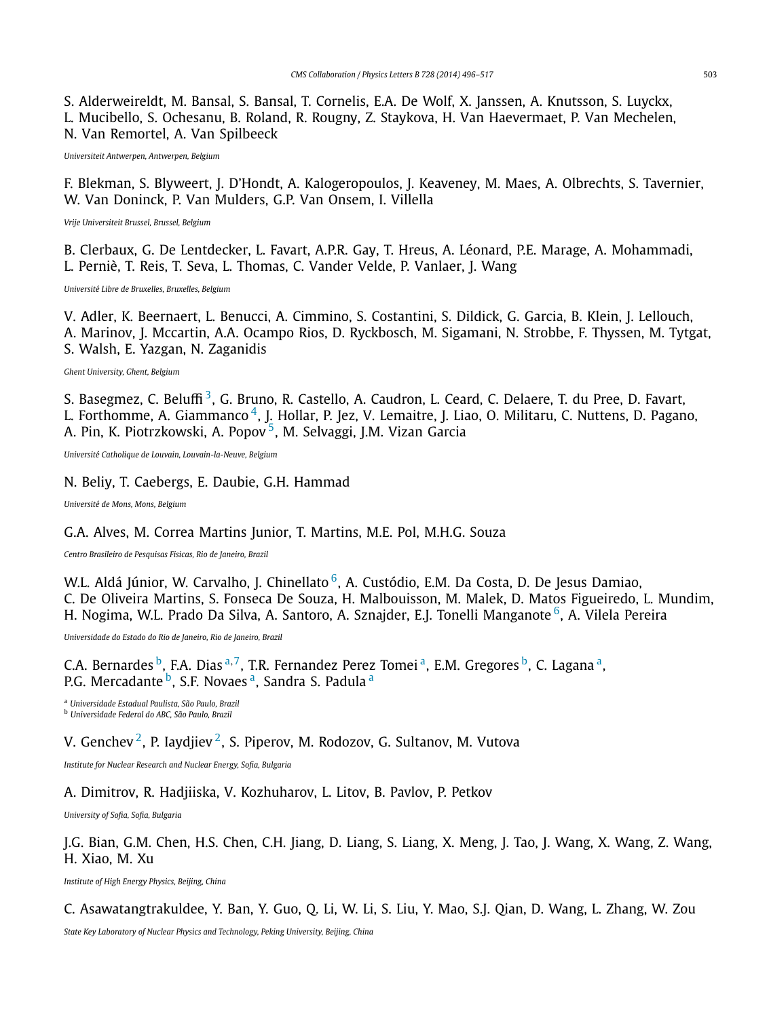S. Alderweireldt, M. Bansal, S. Bansal, T. Cornelis, E.A. De Wolf, X. Janssen, A. Knutsson, S. Luyckx, L. Mucibello, S. Ochesanu, B. Roland, R. Rougny, Z. Staykova, H. Van Haevermaet, P. Van Mechelen, N. Van Remortel, A. Van Spilbeeck

*Universiteit Antwerpen, Antwerpen, Belgium*

F. Blekman, S. Blyweert, J. D'Hondt, A. Kalogeropoulos, J. Keaveney, M. Maes, A. Olbrechts, S. Tavernier, W. Van Doninck, P. Van Mulders, G.P. Van Onsem, I. Villella

*Vrije Universiteit Brussel, Brussel, Belgium*

B. Clerbaux, G. De Lentdecker, L. Favart, A.P.R. Gay, T. Hreus, A. Léonard, P.E. Marage, A. Mohammadi, L. Perniè, T. Reis, T. Seva, L. Thomas, C. Vander Velde, P. Vanlaer, J. Wang

*Université Libre de Bruxelles, Bruxelles, Belgium*

V. Adler, K. Beernaert, L. Benucci, A. Cimmino, S. Costantini, S. Dildick, G. Garcia, B. Klein, J. Lellouch, A. Marinov, J. Mccartin, A.A. Ocampo Rios, D. Ryckbosch, M. Sigamani, N. Strobbe, F. Thyssen, M. Tytgat, S. Walsh, E. Yazgan, N. Zaganidis

*Ghent University, Ghent, Belgium*

S. Basegmez, C. Beluffi<sup>3</sup>, G. Bruno, R. Castello, A. Caudron, L. Ceard, C. Delaere, T. du Pree, D. Favart, L. Forthomme, A. Giammanco<sup>4</sup>, J. Hollar, P. Jez, V. Lemaitre, J. Liao, O. Militaru, C. Nuttens, D. Pagano, A. Pin, K. Piotrzkowski, A. Popov [5,](#page-20-0) M. Selvaggi, J.M. Vizan Garcia

*Université Catholique de Louvain, Louvain-la-Neuve, Belgium*

#### N. Beliy, T. Caebergs, E. Daubie, G.H. Hammad

*Université de Mons, Mons, Belgium*

#### G.A. Alves, M. Correa Martins Junior, T. Martins, M.E. Pol, M.H.G. Souza

*Centro Brasileiro de Pesquisas Fisicas, Rio de Janeiro, Brazil*

W.L. Aldá Júnior, W. Carvalho, J. Chinellato<sup>6</sup>, A. Custódio, E.M. Da Costa, D. De Jesus Damiao, C. De Oliveira Martins, S. Fonseca De Souza, H. Malbouisson, M. Malek, D. Matos Figueiredo, L. Mundim, H. Nogima, W.L. Prado Da Silva, A. Santoro, A. Sznajder, E.J. Tonelli Manganote<sup>6</sup>, A. Vilela Pereira

*Universidade do Estado do Rio de Janeiro, Rio de Janeiro, Brazil*

C.A. Bernardes <sup>b</sup>, F.A. Dias <sup>a, [7](#page-20-0)</sup>, T.R. Fernandez Perez Tomei<sup>a</sup>, E.M. Gregores <sup>b</sup>. C. Lagana<sup>a</sup>. P.G. Mercadante <sup>b</sup>, S.F. Novaes <sup>a</sup>, Sandra S. Padula <sup>a</sup>

<sup>a</sup> *Universidade Estadual Paulista, São Paulo, Brazil* <sup>b</sup> *Universidade Federal do ABC, São Paulo, Brazil*

# V. Genchev [2,](#page-20-0) P. Iaydjiev [2,](#page-20-0) S. Piperov, M. Rodozov, G. Sultanov, M. Vutova

*Institute for Nuclear Research and Nuclear Energy, Sofia, Bulgaria*

A. Dimitrov, R. Hadjiiska, V. Kozhuharov, L. Litov, B. Pavlov, P. Petkov

*University of Sofia, Sofia, Bulgaria*

J.G. Bian, G.M. Chen, H.S. Chen, C.H. Jiang, D. Liang, S. Liang, X. Meng, J. Tao, J. Wang, X. Wang, Z. Wang, H. Xiao, M. Xu

*Institute of High Energy Physics, Beijing, China*

C. Asawatangtrakuldee, Y. Ban, Y. Guo, Q. Li, W. Li, S. Liu, Y. Mao, S.J. Qian, D. Wang, L. Zhang, W. Zou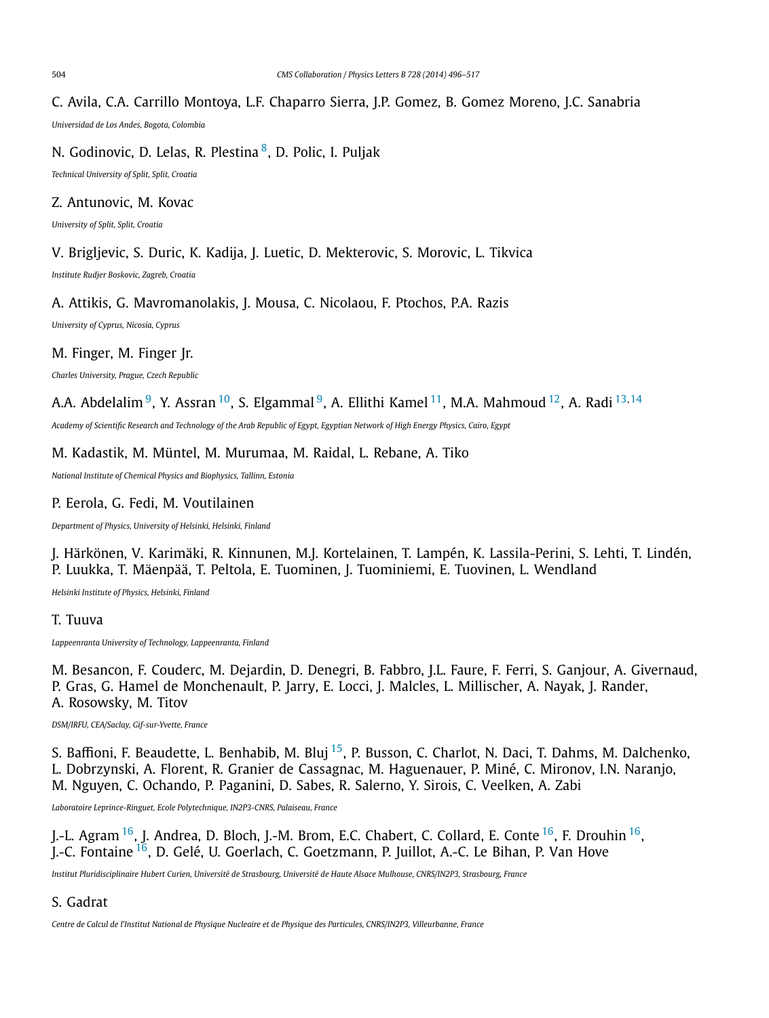# C. Avila, C.A. Carrillo Montoya, L.F. Chaparro Sierra, J.P. Gomez, B. Gomez Moreno, J.C. Sanabria

*Universidad de Los Andes, Bogota, Colombia*

### N. Godinovic, D. Lelas, R. Plestina <sup>8</sup>, D. Polic, I. Puljak

*Technical University of Split, Split, Croatia*

#### Z. Antunovic, M. Kovac

*University of Split, Split, Croatia*

### V. Brigljevic, S. Duric, K. Kadija, J. Luetic, D. Mekterovic, S. Morovic, L. Tikvica

*Institute Rudjer Boskovic, Zagreb, Croatia*

#### A. Attikis, G. Mavromanolakis, J. Mousa, C. Nicolaou, F. Ptochos, P.A. Razis

*University of Cyprus, Nicosia, Cyprus*

#### M. Finger, M. Finger Jr.

*Charles University, Prague, Czech Republic*

# A.A. Abdelalim [9,](#page-20-0) Y. Assran [10,](#page-20-0) S. Elgammal [9,](#page-20-0) A. Ellithi Kamel [11](#page-20-0), M.A. Mahmoud [12](#page-20-0), A. Radi [13](#page-20-0)*,*[14](#page-20-0)

*Academy of Scientific Research and Technology of the Arab Republic of Egypt, Egyptian Network of High Energy Physics, Cairo, Egypt*

#### M. Kadastik, M. Müntel, M. Murumaa, M. Raidal, L. Rebane, A. Tiko

*National Institute of Chemical Physics and Biophysics, Tallinn, Estonia*

### P. Eerola, G. Fedi, M. Voutilainen

*Department of Physics, University of Helsinki, Helsinki, Finland*

J. Härkönen, V. Karimäki, R. Kinnunen, M.J. Kortelainen, T. Lampén, K. Lassila-Perini, S. Lehti, T. Lindén, P. Luukka, T. Mäenpää, T. Peltola, E. Tuominen, J. Tuominiemi, E. Tuovinen, L. Wendland

*Helsinki Institute of Physics, Helsinki, Finland*

T. Tuuva

*Lappeenranta University of Technology, Lappeenranta, Finland*

M. Besancon, F. Couderc, M. Dejardin, D. Denegri, B. Fabbro, J.L. Faure, F. Ferri, S. Ganjour, A. Givernaud, P. Gras, G. Hamel de Monchenault, P. Jarry, E. Locci, J. Malcles, L. Millischer, A. Nayak, J. Rander, A. Rosowsky, M. Titov

*DSM/IRFU, CEA/Saclay, Gif-sur-Yvette, France*

S. Baffioni, F. Beaudette, L. Benhabib, M. Bluj <sup>15</sup>, P. Busson, C. Charlot, N. Daci, T. Dahms, M. Dalchenko, L. Dobrzynski, A. Florent, R. Granier de Cassagnac, M. Haguenauer, P. Miné, C. Mironov, I.N. Naranjo, M. Nguyen, C. Ochando, P. Paganini, D. Sabes, R. Salerno, Y. Sirois, C. Veelken, A. Zabi

*Laboratoire Leprince-Ringuet, Ecole Polytechnique, IN2P3-CNRS, Palaiseau, France*

J.-L. Agram <sup>[16](#page-20-0)</sup>, J. Andrea, D. Bloch, J.-M. Brom, E.C. Chabert, C. Collard, E. Conte <sup>16</sup>, F. Drouhin <sup>16</sup>, J.-C. Fontaine [16,](#page-20-0) D. Gelé, U. Goerlach, C. Goetzmann, P. Juillot, A.-C. Le Bihan, P. Van Hove

*Institut Pluridisciplinaire Hubert Curien, Université de Strasbourg, Université de Haute Alsace Mulhouse, CNRS/IN2P3, Strasbourg, France*

### S. Gadrat

*Centre de Calcul de l'Institut National de Physique Nucleaire et de Physique des Particules, CNRS/IN2P3, Villeurbanne, France*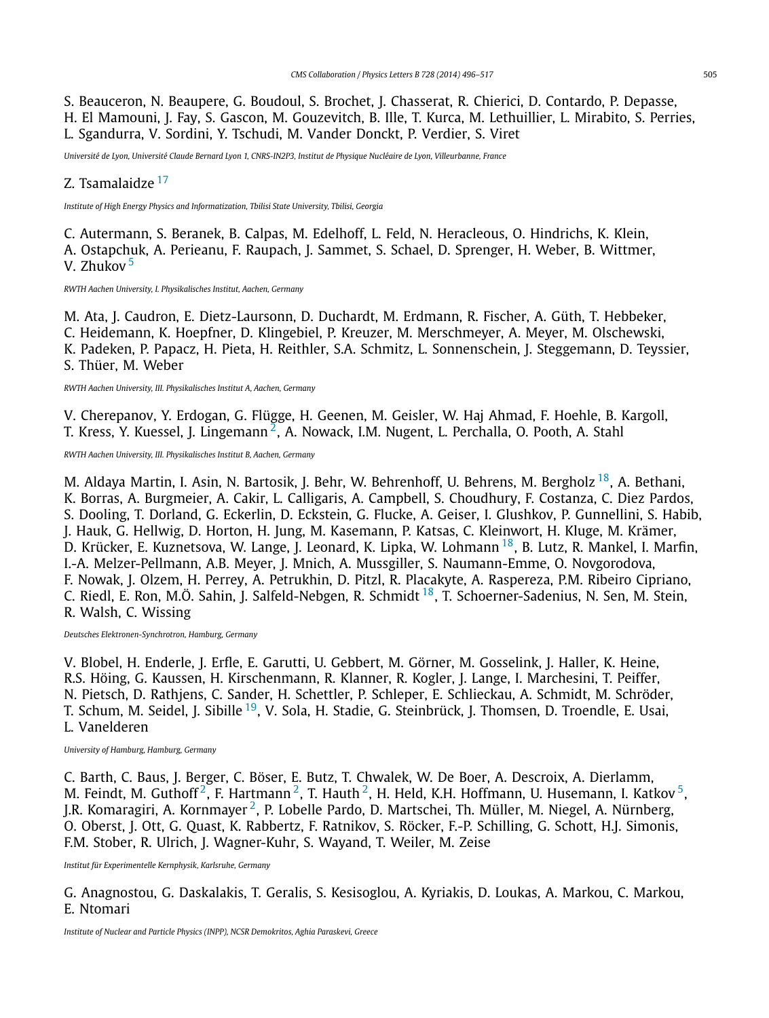S. Beauceron, N. Beaupere, G. Boudoul, S. Brochet, J. Chasserat, R. Chierici, D. Contardo, P. Depasse, H. El Mamouni, J. Fay, S. Gascon, M. Gouzevitch, B. Ille, T. Kurca, M. Lethuillier, L. Mirabito, S. Perries, L. Sgandurra, V. Sordini, Y. Tschudi, M. Vander Donckt, P. Verdier, S. Viret

*Université de Lyon, Université Claude Bernard Lyon 1, CNRS-IN2P3, Institut de Physique Nucléaire de Lyon, Villeurbanne, France*

### Z. Tsamalaidze [17](#page-20-0)

*Institute of High Energy Physics and Informatization, Tbilisi State University, Tbilisi, Georgia*

C. Autermann, S. Beranek, B. Calpas, M. Edelhoff, L. Feld, N. Heracleous, O. Hindrichs, K. Klein, A. Ostapchuk, A. Perieanu, F. Raupach, J. Sammet, S. Schael, D. Sprenger, H. Weber, B. Wittmer, V. Zhukov<sup>[5](#page-20-0)</sup>

*RWTH Aachen University, I. Physikalisches Institut, Aachen, Germany*

M. Ata, J. Caudron, E. Dietz-Laursonn, D. Duchardt, M. Erdmann, R. Fischer, A. Güth, T. Hebbeker, C. Heidemann, K. Hoepfner, D. Klingebiel, P. Kreuzer, M. Merschmeyer, A. Meyer, M. Olschewski, K. Padeken, P. Papacz, H. Pieta, H. Reithler, S.A. Schmitz, L. Sonnenschein, J. Steggemann, D. Teyssier, S. Thüer, M. Weber

*RWTH Aachen University, III. Physikalisches Institut A, Aachen, Germany*

V. Cherepanov, Y. Erdogan, G. Flügge, H. Geenen, M. Geisler, W. Haj Ahmad, F. Hoehle, B. Kargoll, T. Kress, Y. Kuessel, J. Lingemann<sup>2</sup>, A. Nowack, I.M. Nugent, L. Perchalla, O. Pooth, A. Stahl

*RWTH Aachen University, III. Physikalisches Institut B, Aachen, Germany*

M. Aldaya Martin, I. Asin, N. Bartosik, J. Behr, W. Behrenhoff, U. Behrens, M. Bergholz <sup>18</sup>, A. Bethani, K. Borras, A. Burgmeier, A. Cakir, L. Calligaris, A. Campbell, S. Choudhury, F. Costanza, C. Diez Pardos, S. Dooling, T. Dorland, G. Eckerlin, D. Eckstein, G. Flucke, A. Geiser, I. Glushkov, P. Gunnellini, S. Habib, J. Hauk, G. Hellwig, D. Horton, H. Jung, M. Kasemann, P. Katsas, C. Kleinwort, H. Kluge, M. Krämer, D. Krücker, E. Kuznetsova, W. Lange, J. Leonard, K. Lipka, W. Lohmann <sup>18</sup>, B. Lutz, R. Mankel, I. Marfin, I.-A. Melzer-Pellmann, A.B. Meyer, J. Mnich, A. Mussgiller, S. Naumann-Emme, O. Novgorodova, F. Nowak, J. Olzem, H. Perrey, A. Petrukhin, D. Pitzl, R. Placakyte, A. Raspereza, P.M. Ribeiro Cipriano, C. Riedl, E. Ron, M.Ö. Sahin, J. Salfeld-Nebgen, R. Schmidt [18,](#page-20-0) T. Schoerner-Sadenius, N. Sen, M. Stein, R. Walsh, C. Wissing

*Deutsches Elektronen-Synchrotron, Hamburg, Germany*

V. Blobel, H. Enderle, J. Erfle, E. Garutti, U. Gebbert, M. Görner, M. Gosselink, J. Haller, K. Heine, R.S. Höing, G. Kaussen, H. Kirschenmann, R. Klanner, R. Kogler, J. Lange, I. Marchesini, T. Peiffer, N. Pietsch, D. Rathjens, C. Sander, H. Schettler, P. Schleper, E. Schlieckau, A. Schmidt, M. Schröder, T. Schum, M. Seidel, J. Sibille <sup>19</sup>, V. Sola, H. Stadie, G. Steinbrück, J. Thomsen, D. Troendle, E. Usai, L. Vanelderen

*University of Hamburg, Hamburg, Germany*

C. Barth, C. Baus, J. Berger, C. Böser, E. Butz, T. Chwalek, W. De Boer, A. Descroix, A. Dierlamm, M. Feindt, M. Guthoff<sup>2</sup>, F. Hartmann<sup>2</sup>, T. Hauth<sup>2</sup>, H. Held, K.H. Hoffmann, U. Husemann, I. Katkov<sup>5</sup>, J.R. Komaragiri, A. Kornmayer [2,](#page-20-0) P. Lobelle Pardo, D. Martschei, Th. Müller, M. Niegel, A. Nürnberg, O. Oberst, J. Ott, G. Quast, K. Rabbertz, F. Ratnikov, S. Röcker, F.-P. Schilling, G. Schott, H.J. Simonis, F.M. Stober, R. Ulrich, J. Wagner-Kuhr, S. Wayand, T. Weiler, M. Zeise

*Institut für Experimentelle Kernphysik, Karlsruhe, Germany*

G. Anagnostou, G. Daskalakis, T. Geralis, S. Kesisoglou, A. Kyriakis, D. Loukas, A. Markou, C. Markou, E. Ntomari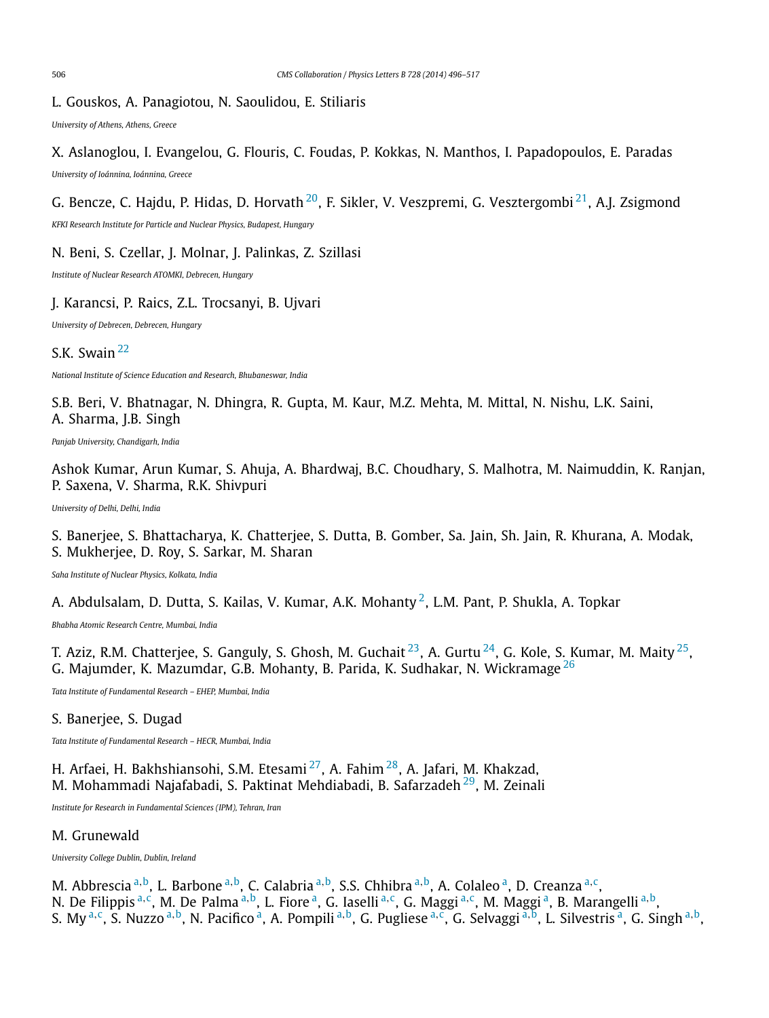### L. Gouskos, A. Panagiotou, N. Saoulidou, E. Stiliaris

*University of Athens, Athens, Greece*

X. Aslanoglou, I. Evangelou, G. Flouris, C. Foudas, P. Kokkas, N. Manthos, I. Papadopoulos, E. Paradas *University of Ioánnina, Ioánnina, Greece*

# G. Bencze, C. Hajdu, P. Hidas, D. Horvath  $20$ , F. Sikler, V. Veszpremi, G. Vesztergombi  $21$ , A.J. Zsigmond

*KFKI Research Institute for Particle and Nuclear Physics, Budapest, Hungary*

N. Beni, S. Czellar, J. Molnar, J. Palinkas, Z. Szillasi

*Institute of Nuclear Research ATOMKI, Debrecen, Hungary*

J. Karancsi, P. Raics, Z.L. Trocsanyi, B. Ujvari

*University of Debrecen, Debrecen, Hungary*

### S.K. Swain [22](#page-20-0)

*National Institute of Science Education and Research, Bhubaneswar, India*

S.B. Beri, V. Bhatnagar, N. Dhingra, R. Gupta, M. Kaur, M.Z. Mehta, M. Mittal, N. Nishu, L.K. Saini, A. Sharma, J.B. Singh

*Panjab University, Chandigarh, India*

Ashok Kumar, Arun Kumar, S. Ahuja, A. Bhardwaj, B.C. Choudhary, S. Malhotra, M. Naimuddin, K. Ranjan, P. Saxena, V. Sharma, R.K. Shivpuri

*University of Delhi, Delhi, India*

S. Banerjee, S. Bhattacharya, K. Chatterjee, S. Dutta, B. Gomber, Sa. Jain, Sh. Jain, R. Khurana, A. Modak, S. Mukherjee, D. Roy, S. Sarkar, M. Sharan

*Saha Institute of Nuclear Physics, Kolkata, India*

A. Abdulsalam, D. Dutta, S. Kailas, V. Kumar, A.K. Mohanty [2,](#page-20-0) L.M. Pant, P. Shukla, A. Topkar

*Bhabha Atomic Research Centre, Mumbai, India*

T. Aziz, R.M. Chatterjee, S. Ganguly, S. Ghosh, M. Guchait<sup>[23](#page-20-0)</sup>, A. Gurtu<sup>[24](#page-20-0)</sup>, G. Kole, S. Kumar, M. Maity<sup>25</sup>, G. Majumder, K. Mazumdar, G.B. Mohanty, B. Parida, K. Sudhakar, N. Wickramage [26](#page-20-0)

*Tata Institute of Fundamental Research – EHEP, Mumbai, India*

#### S. Banerjee, S. Dugad

*Tata Institute of Fundamental Research – HECR, Mumbai, India*

H. Arfaei, H. Bakhshiansohi, S.M. Etesami [27,](#page-20-0) A. Fahim [28](#page-20-0), A. Jafari, M. Khakzad, M. Mohammadi Najafabadi, S. Paktinat Mehdiabadi, B. Safarzadeh [29,](#page-20-0) M. Zeinali

*Institute for Research in Fundamental Sciences (IPM), Tehran, Iran*

#### M. Grunewald

*University College Dublin, Dublin, Ireland*

M. Abbrescia [a](#page-11-0)*,*[b,](#page-11-0) L. Barbone [a](#page-11-0)*,*[b,](#page-11-0) C. Calabria [a](#page-11-0)*,*[b,](#page-11-0) S.S. Chhibra [a](#page-11-0)*,*[b](#page-11-0), A. Colaleo [a,](#page-11-0) D. Creanza [a](#page-11-0)*,*[c,](#page-11-0) N. De Filippis [a](#page-11-0)*,*[c,](#page-11-0) M. De Palma [a](#page-11-0)*,*[b,](#page-11-0) L. Fiore [a,](#page-11-0) G. Iaselli [a](#page-11-0)*,*[c,](#page-11-0) G. Maggi [a](#page-11-0)*,*[c,](#page-11-0) M. Maggi [a,](#page-11-0) B. Marangelli [a](#page-11-0)*,*[b,](#page-11-0) S. My [a](#page-11-0)*,*[c,](#page-11-0) S. Nuzzo [a](#page-11-0)*,*[b,](#page-11-0) N. Pacifico [a,](#page-11-0) A. Pompili [a](#page-11-0)*,*[b](#page-11-0), G. Pugliese [a](#page-11-0)*,*[c,](#page-11-0) G. Selvaggi [a](#page-11-0)*,*[b,](#page-11-0) L. Silvestris [a,](#page-11-0) G. Singh [a](#page-11-0)*,*[b,](#page-11-0)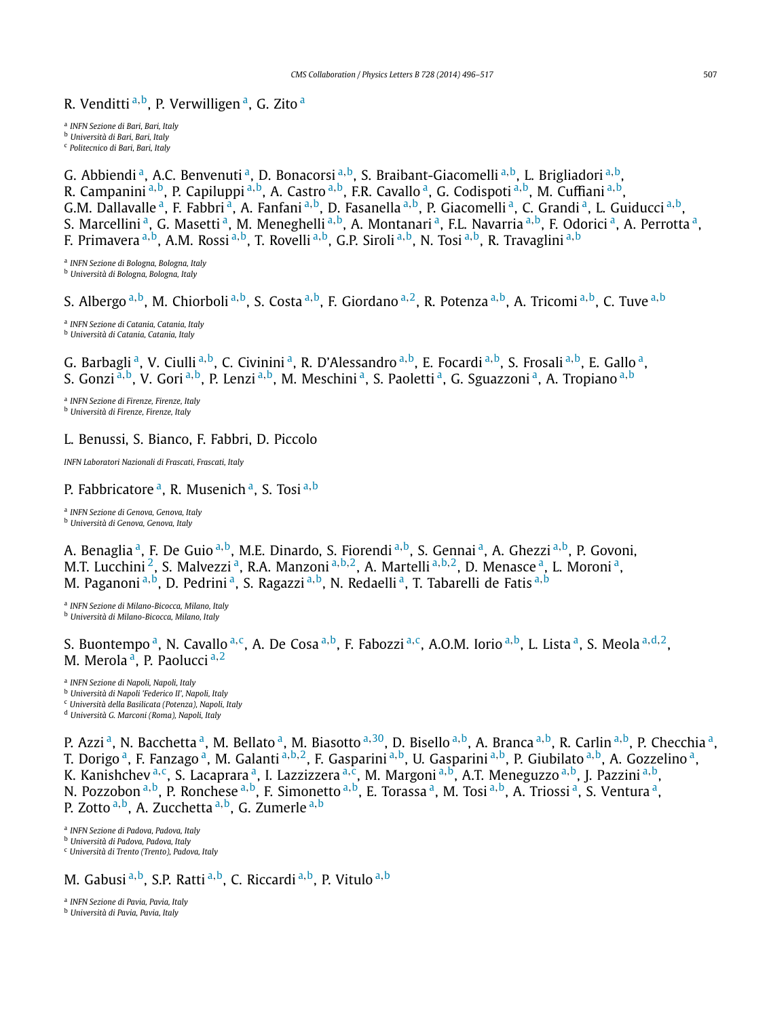# <span id="page-11-0"></span>R. Venditti a, b, P. Verwilligen a, G. Zito a

<sup>a</sup> *INFN Sezione di Bari, Bari, Italy* <sup>b</sup> *Università di Bari, Bari, Italy* <sup>c</sup> *Politecnico di Bari, Bari, Italy*

G. Abbiendi a, A.C. Benvenuti a, D. Bonacorsi <sup>a</sup>*,*b, S. Braibant-Giacomelli <sup>a</sup>*,*b, L. Brigliadori <sup>a</sup>*,*b, R. Campanini <sup>a</sup>*,*b, P. Capiluppi <sup>a</sup>*,*b, A. Castro <sup>a</sup>*,*b, F.R. Cavallo a, G. Codispoti <sup>a</sup>*,*b, M. Cuffiani <sup>a</sup>*,*b, G.M. Dallavalle <sup>a</sup>, F. Fabbri <sup>a</sup>, A. Fanfani <sup>a,b</sup>, D. Fasanella <sup>a,b</sup>, P. Giacomelli <sup>a</sup>, C. Grandi <sup>a</sup>, L. Guiducci <sup>a,b</sup>, S. Marcellini <sup>a</sup>, G. Masetti <sup>a</sup>, M. Meneghelli <sup>a,b</sup>, A. Montanari <sup>a</sup>, F.L. Navarria <sup>a,b</sup>, F. Odorici <sup>a</sup>, A. Perrotta <sup>a</sup>, F. Primavera <sup>a</sup>*,*b, A.M. Rossi <sup>a</sup>*,*b, T. Rovelli <sup>a</sup>*,*b, G.P. Siroli <sup>a</sup>*,*b, N. Tosi <sup>a</sup>*,*b, R. Travaglini <sup>a</sup>*,*<sup>b</sup>

<sup>a</sup> *INFN Sezione di Bologna, Bologna, Italy* <sup>b</sup> *Università di Bologna, Bologna, Italy*

S. Albergo <sup>a</sup>*,*b, M. Chiorboli <sup>a</sup>*,*b, S. Costa <sup>a</sup>*,*b, F. Giordano <sup>a</sup>*,*[2,](#page-20-0) R. Potenza <sup>a</sup>*,*b, A. Tricomi <sup>a</sup>*,*b, C. Tuve <sup>a</sup>*,*<sup>b</sup>

<sup>a</sup> *INFN Sezione di Catania, Catania, Italy* <sup>b</sup> *Università di Catania, Catania, Italy*

G. Barbagli a, V. Ciulli <sup>a</sup>*,*b, C. Civinini a, R. D'Alessandro <sup>a</sup>*,*b, E. Focardi <sup>a</sup>*,*b, S. Frosali <sup>a</sup>*,*b, E. Gallo a, S. Gonzi <sup>a</sup>*,*b, V. Gori <sup>a</sup>*,*b, P. Lenzi <sup>a</sup>*,*b, M. Meschini a, S. Paoletti a, G. Sguazzoni a, A. Tropiano <sup>a</sup>*,*<sup>b</sup>

<sup>a</sup> *INFN Sezione di Firenze, Firenze, Italy*

<sup>b</sup> *Università di Firenze, Firenze, Italy*

#### L. Benussi, S. Bianco, F. Fabbri, D. Piccolo

*INFN Laboratori Nazionali di Frascati, Frascati, Italy*

#### P. Fabbricatore a, R. Musenich a, S. Tosi <sup>a</sup>*,*<sup>b</sup>

<sup>a</sup> *INFN Sezione di Genova, Genova, Italy*

<sup>b</sup> *Università di Genova, Genova, Italy*

A. Benaglia a, F. De Guio <sup>a</sup>*,*b, M.E. Dinardo, S. Fiorendi <sup>a</sup>*,*b, S. Gennai a, A. Ghezzi <sup>a</sup>*,*b, P. Govoni, M.T. Lucchini [2,](#page-20-0) S. Malvezzi a, R.A. Manzoni <sup>a</sup>*,*b*,*[2,](#page-20-0) A. Martelli <sup>a</sup>*,*b*,*[2,](#page-20-0) D. Menasce a, L. Moroni a, M. Paganoni <sup>a</sup>*,*b, D. Pedrini a, S. Ragazzi <sup>a</sup>*,*b, N. Redaelli a, T. Tabarelli de Fatis <sup>a</sup>*,*<sup>b</sup>

<sup>a</sup> *INFN Sezione di Milano-Bicocca, Milano, Italy* <sup>b</sup> *Università di Milano-Bicocca, Milano, Italy*

S. Buontempo a, N. Cavallo <sup>a</sup>*,*c, A. De Cosa <sup>a</sup>*,*b, F. Fabozzi <sup>a</sup>*,*c, A.O.M. Iorio <sup>a</sup>*,*b, L. Lista a, S. Meola <sup>a</sup>*,*d*,*[2,](#page-20-0) M. Merola<sup>a</sup>, P. Paolucci<sup>a, [2](#page-20-0)</sup>

<sup>a</sup> *INFN Sezione di Napoli, Napoli, Italy*

<sup>b</sup> *Università di Napoli 'Federico II', Napoli, Italy*

<sup>c</sup> *Università della Basilicata (Potenza), Napoli, Italy*

<sup>d</sup> *Università G. Marconi (Roma), Napoli, Italy*

P. Azzi<sup>a</sup>, N. Bacchetta<sup>a</sup>, M. Bellato<sup>a</sup>, M. Biasotto<sup>a, 30</sup>, D. Bisello<sup>a,b</sup>, A. Branca<sup>a,b</sup>, R. Carlin<sup>a,b</sup>, P. Checchia<sup>a</sup>, T. Dorigo a, F. Fanzago a, M. Galanti <sup>a</sup>*,*b*,*[2,](#page-20-0) F. Gasparini <sup>a</sup>*,*b, U. Gasparini <sup>a</sup>*,*b, P. Giubilato <sup>a</sup>*,*b, A. Gozzelino a, K. Kanishchev <sup>a</sup>*,*c, S. Lacaprara a, I. Lazzizzera <sup>a</sup>*,*c, M. Margoni <sup>a</sup>*,*b, A.T. Meneguzzo <sup>a</sup>*,*b, J. Pazzini <sup>a</sup>*,*b, N. Pozzobon <sup>a</sup>*,*b, P. Ronchese <sup>a</sup>*,*b, F. Simonetto <sup>a</sup>*,*b, E. Torassa a, M. Tosi <sup>a</sup>*,*b, A. Triossi a, S. Ventura a, P. Zotto <sup>a</sup>*,*b, A. Zucchetta <sup>a</sup>*,*b, G. Zumerle <sup>a</sup>*,*<sup>b</sup>

<sup>a</sup> *INFN Sezione di Padova, Padova, Italy*

<sup>b</sup> *Università di Padova, Padova, Italy*

<sup>c</sup> *Università di Trento (Trento), Padova, Italy*

M. Gabusi <sup>a</sup>*,*b, S.P. Ratti <sup>a</sup>*,*b, C. Riccardi <sup>a</sup>*,*b, P. Vitulo <sup>a</sup>*,*<sup>b</sup>

<sup>a</sup> *INFN Sezione di Pavia, Pavia, Italy*

<sup>b</sup> *Università di Pavia, Pavia, Italy*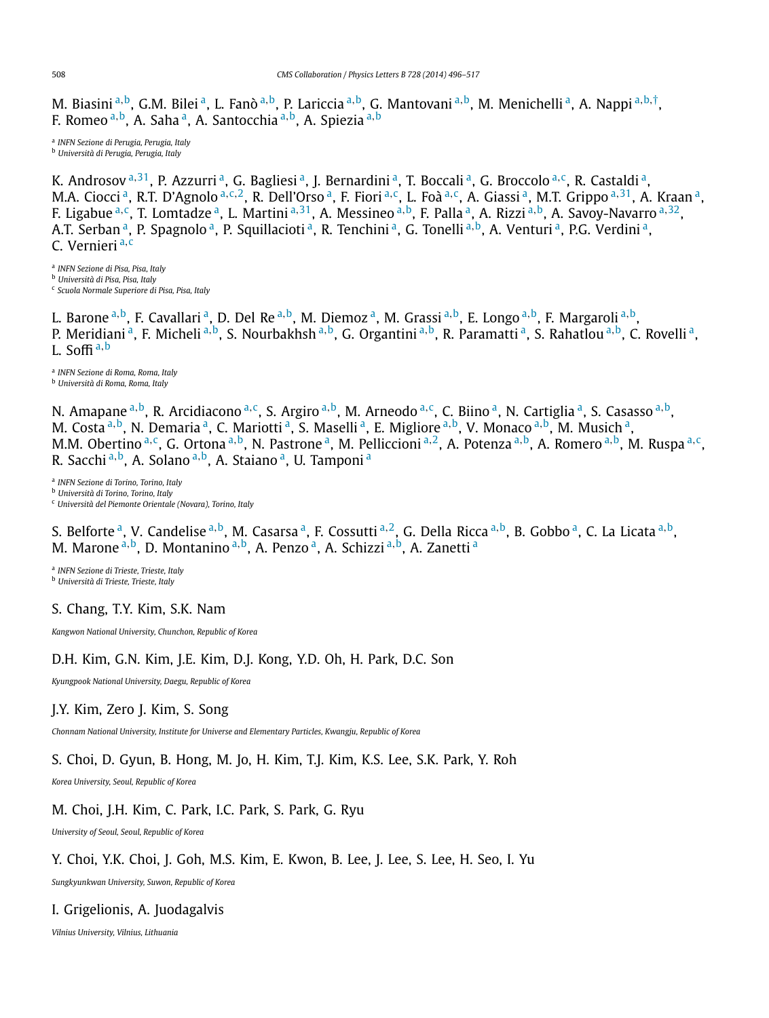M. Biasini <sup>a</sup>*,*b, G.M. Bilei a, L. Fanò <sup>a</sup>*,*b, P. Lariccia <sup>a</sup>*,*b, G. Mantovani <sup>a</sup>*,*b, M. Menichelli a, A. Nappi <sup>a</sup>*,*b*,*[†,](#page-20-0) F. Romeo <sup>a</sup>*,*b, A. Saha a, A. Santocchia <sup>a</sup>*,*b, A. Spiezia <sup>a</sup>*,*<sup>b</sup>

<sup>a</sup> *INFN Sezione di Perugia, Perugia, Italy* <sup>b</sup> *Università di Perugia, Perugia, Italy*

K. Androsov a, <sup>31</sup>, P. Azzurri <sup>a</sup>, G. Bagliesi <sup>a</sup>, J. Bernardini <sup>a</sup>, T. Boccali <sup>a</sup>, G. Broccolo a, c, R. Castaldi <sup>a</sup>, M.A. Ciocci<sup>a</sup>, R.T. D'Agnolo<sup>a,c,2</sup>, R. Dell'Orso<sup>a</sup>, F. Fiori<sup>a,c</sup>, L. Foà<sup>a,c</sup>, A. Giassi<sup>a</sup>, M.T. Grippo<sup>a,31</sup>, A. Kraan<sup>a</sup>, F. Ligabue <sup>a</sup>*,*c, T. Lomtadze a, L. Martini <sup>a</sup>*,*[31,](#page-20-0) A. Messineo <sup>a</sup>*,*b, F. Palla a, A. Rizzi <sup>a</sup>*,*b, A. Savoy-Navarro <sup>a</sup>*,*[32,](#page-20-0) A.T. Serban <sup>a</sup>, P. Spagnolo <sup>a</sup>, P. Squillacioti <sup>a</sup>, R. Tenchini <sup>a</sup>, G. Tonelli <sup>a, b</sup>, A. Venturi <sup>a</sup>, P.G. Verdini <sup>a</sup>, C. Vernieri <sup>a</sup>*,*<sup>c</sup>

<sup>a</sup> *INFN Sezione di Pisa, Pisa, Italy*

<sup>b</sup> *Università di Pisa, Pisa, Italy*

<sup>c</sup> *Scuola Normale Superiore di Pisa, Pisa, Italy*

L. Barone a,b, F. Cavallari <sup>a</sup>, D. Del Re a,b, M. Diemoz <sup>a</sup>, M. Grassi a,b, E. Longo a,b, F. Margaroli a,b, P. Meridiani<sup>a</sup>, F. Micheli<sup>a,b</sup>, S. Nourbakhsh a,b, G. Organtini a,b, R. Paramatti a, S. Rahatlou a,b, C. Rovelli a, L. Soffi<sup>a,b</sup>

<sup>a</sup> *INFN Sezione di Roma, Roma, Italy*

<sup>b</sup> *Università di Roma, Roma, Italy*

N. Amapane <sup>a</sup>*,*b, R. Arcidiacono <sup>a</sup>*,*c, S. Argiro <sup>a</sup>*,*b, M. Arneodo <sup>a</sup>*,*c, C. Biino a, N. Cartiglia a, S. Casasso <sup>a</sup>*,*b, M. Costa <sup>a,b</sup>, N. Demaria <sup>a</sup>, C. Mariotti <sup>a</sup>, S. Maselli <sup>a</sup>, E. Migliore <sup>a,b</sup>, V. Monaco <sup>a,b</sup>, M. Musich <sup>a</sup>, M.M. Obertino <sup>a</sup>*,*c, G. Ortona <sup>a</sup>*,*b, N. Pastrone a, M. Pelliccioni <sup>a</sup>*,*[2,](#page-20-0) A. Potenza <sup>a</sup>*,*b, A. Romero <sup>a</sup>*,*b, M. Ruspa <sup>a</sup>*,*c, R. Sacchi <sup>a</sup>*,*b, A. Solano <sup>a</sup>*,*b, A. Staiano a, U. Tamponi <sup>a</sup>

<sup>a</sup> *INFN Sezione di Torino, Torino, Italy*

<sup>b</sup> *Università di Torino, Torino, Italy*

<sup>c</sup> *Università del Piemonte Orientale (Novara), Torino, Italy*

S. Belforte a, V. Candelise <sup>a</sup>*,*b, M. Casarsa a, F. Cossutti <sup>a</sup>*,*[2,](#page-20-0) G. Della Ricca <sup>a</sup>*,*b, B. Gobbo a, C. La Licata <sup>a</sup>*,*b, M. Marone <sup>a</sup>*,*b, D. Montanino <sup>a</sup>*,*b, A. Penzo a, A. Schizzi <sup>a</sup>*,*b, A. Zanetti <sup>a</sup>

<sup>a</sup> *INFN Sezione di Trieste, Trieste, Italy*

<sup>b</sup> *Università di Trieste, Trieste, Italy*

S. Chang, T.Y. Kim, S.K. Nam

*Kangwon National University, Chunchon, Republic of Korea*

#### D.H. Kim, G.N. Kim, J.E. Kim, D.J. Kong, Y.D. Oh, H. Park, D.C. Son

*Kyungpook National University, Daegu, Republic of Korea*

### J.Y. Kim, Zero J. Kim, S. Song

*Chonnam National University, Institute for Universe and Elementary Particles, Kwangju, Republic of Korea*

### S. Choi, D. Gyun, B. Hong, M. Jo, H. Kim, T.J. Kim, K.S. Lee, S.K. Park, Y. Roh

*Korea University, Seoul, Republic of Korea*

### M. Choi, J.H. Kim, C. Park, I.C. Park, S. Park, G. Ryu

*University of Seoul, Seoul, Republic of Korea*

# Y. Choi, Y.K. Choi, J. Goh, M.S. Kim, E. Kwon, B. Lee, J. Lee, S. Lee, H. Seo, I. Yu

*Sungkyunkwan University, Suwon, Republic of Korea*

# I. Grigelionis, A. Juodagalvis

*Vilnius University, Vilnius, Lithuania*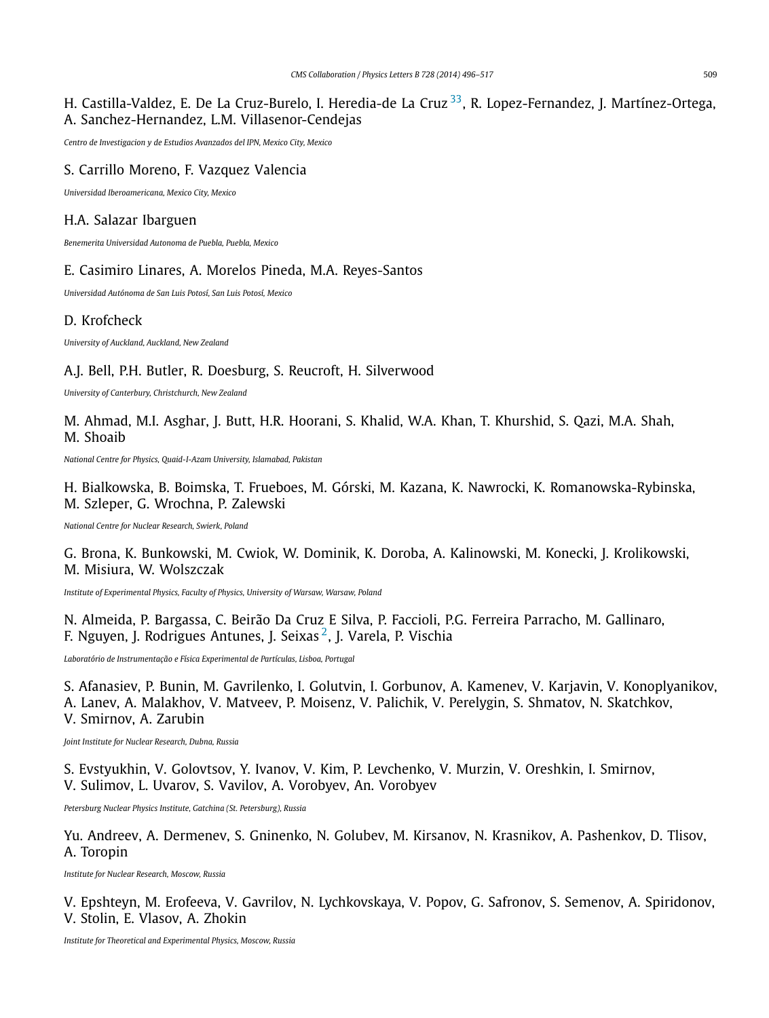# H. Castilla-Valdez, E. De La Cruz-Burelo, I. Heredia-de La Cruz<sup>33</sup>, R. Lopez-Fernandez, J. Martínez-Ortega, A. Sanchez-Hernandez, L.M. Villasenor-Cendejas

*Centro de Investigacion y de Estudios Avanzados del IPN, Mexico City, Mexico*

#### S. Carrillo Moreno, F. Vazquez Valencia

*Universidad Iberoamericana, Mexico City, Mexico*

#### H.A. Salazar Ibarguen

*Benemerita Universidad Autonoma de Puebla, Puebla, Mexico*

#### E. Casimiro Linares, A. Morelos Pineda, M.A. Reyes-Santos

*Universidad Autónoma de San Luis Potosí, San Luis Potosí, Mexico*

### D. Krofcheck

*University of Auckland, Auckland, New Zealand*

#### A.J. Bell, P.H. Butler, R. Doesburg, S. Reucroft, H. Silverwood

*University of Canterbury, Christchurch, New Zealand*

M. Ahmad, M.I. Asghar, J. Butt, H.R. Hoorani, S. Khalid, W.A. Khan, T. Khurshid, S. Qazi, M.A. Shah, M. Shoaib

*National Centre for Physics, Quaid-I-Azam University, Islamabad, Pakistan*

H. Bialkowska, B. Boimska, T. Frueboes, M. Górski, M. Kazana, K. Nawrocki, K. Romanowska-Rybinska, M. Szleper, G. Wrochna, P. Zalewski

*National Centre for Nuclear Research, Swierk, Poland*

G. Brona, K. Bunkowski, M. Cwiok, W. Dominik, K. Doroba, A. Kalinowski, M. Konecki, J. Krolikowski, M. Misiura, W. Wolszczak

*Institute of Experimental Physics, Faculty of Physics, University of Warsaw, Warsaw, Poland*

N. Almeida, P. Bargassa, C. Beirão Da Cruz E Silva, P. Faccioli, P.G. Ferreira Parracho, M. Gallinaro, F. Nguyen, J. Rodrigues Antunes, J. Seixas [2,](#page-20-0) J. Varela, P. Vischia

*Laboratório de Instrumentação e Física Experimental de Partículas, Lisboa, Portugal*

S. Afanasiev, P. Bunin, M. Gavrilenko, I. Golutvin, I. Gorbunov, A. Kamenev, V. Karjavin, V. Konoplyanikov, A. Lanev, A. Malakhov, V. Matveev, P. Moisenz, V. Palichik, V. Perelygin, S. Shmatov, N. Skatchkov, V. Smirnov, A. Zarubin

*Joint Institute for Nuclear Research, Dubna, Russia*

S. Evstyukhin, V. Golovtsov, Y. Ivanov, V. Kim, P. Levchenko, V. Murzin, V. Oreshkin, I. Smirnov, V. Sulimov, L. Uvarov, S. Vavilov, A. Vorobyev, An. Vorobyev

*Petersburg Nuclear Physics Institute, Gatchina (St. Petersburg), Russia*

Yu. Andreev, A. Dermenev, S. Gninenko, N. Golubev, M. Kirsanov, N. Krasnikov, A. Pashenkov, D. Tlisov, A. Toropin

*Institute for Nuclear Research, Moscow, Russia*

V. Epshteyn, M. Erofeeva, V. Gavrilov, N. Lychkovskaya, V. Popov, G. Safronov, S. Semenov, A. Spiridonov, V. Stolin, E. Vlasov, A. Zhokin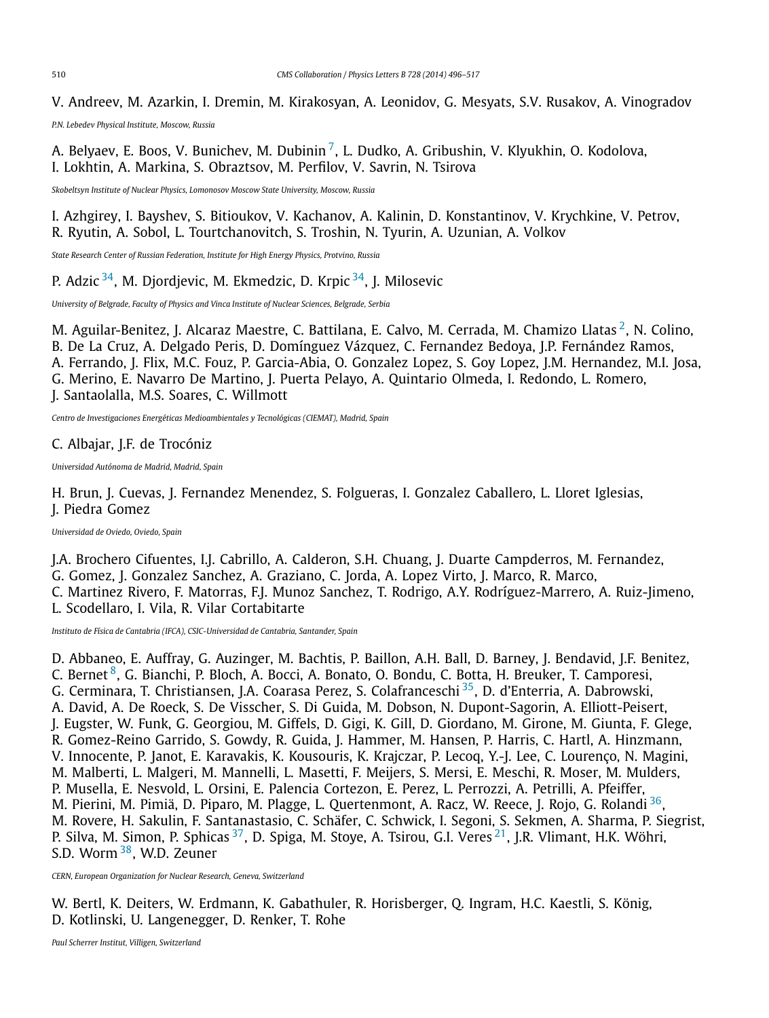V. Andreev, M. Azarkin, I. Dremin, M. Kirakosyan, A. Leonidov, G. Mesyats, S.V. Rusakov, A. Vinogradov

*P.N. Lebedev Physical Institute, Moscow, Russia*

A. Belyaev, E. Boos, V. Bunichev, M. Dubinin<sup>7</sup>, L. Dudko, A. Gribushin, V. Klyukhin, O. Kodolova, I. Lokhtin, A. Markina, S. Obraztsov, M. Perfilov, V. Savrin, N. Tsirova

*Skobeltsyn Institute of Nuclear Physics, Lomonosov Moscow State University, Moscow, Russia*

I. Azhgirey, I. Bayshev, S. Bitioukov, V. Kachanov, A. Kalinin, D. Konstantinov, V. Krychkine, V. Petrov, R. Ryutin, A. Sobol, L. Tourtchanovitch, S. Troshin, N. Tyurin, A. Uzunian, A. Volkov

*State Research Center of Russian Federation, Institute for High Energy Physics, Protvino, Russia*

P. Adzic <sup>34</sup>, M. Djordjevic, M. Ekmedzic, D. Krpic <sup>34</sup>, J. Milosevic

*University of Belgrade, Faculty of Physics and Vinca Institute of Nuclear Sciences, Belgrade, Serbia*

M. Aguilar-Benitez, J. Alcaraz Maestre, C. Battilana, E. Calvo, M. Cerrada, M. Chamizo Llatas<sup>2</sup>, N. Colino, B. De La Cruz, A. Delgado Peris, D. Domínguez Vázquez, C. Fernandez Bedoya, J.P. Fernández Ramos, A. Ferrando, J. Flix, M.C. Fouz, P. Garcia-Abia, O. Gonzalez Lopez, S. Goy Lopez, J.M. Hernandez, M.I. Josa, G. Merino, E. Navarro De Martino, J. Puerta Pelayo, A. Quintario Olmeda, I. Redondo, L. Romero, J. Santaolalla, M.S. Soares, C. Willmott

*Centro de Investigaciones Energéticas Medioambientales y Tecnológicas (CIEMAT), Madrid, Spain*

### C. Albajar, J.F. de Trocóniz

*Universidad Autónoma de Madrid, Madrid, Spain*

H. Brun, J. Cuevas, J. Fernandez Menendez, S. Folgueras, I. Gonzalez Caballero, L. Lloret Iglesias, J. Piedra Gomez

*Universidad de Oviedo, Oviedo, Spain*

J.A. Brochero Cifuentes, I.J. Cabrillo, A. Calderon, S.H. Chuang, J. Duarte Campderros, M. Fernandez, G. Gomez, J. Gonzalez Sanchez, A. Graziano, C. Jorda, A. Lopez Virto, J. Marco, R. Marco, C. Martinez Rivero, F. Matorras, F.J. Munoz Sanchez, T. Rodrigo, A.Y. Rodríguez-Marrero, A. Ruiz-Jimeno, L. Scodellaro, I. Vila, R. Vilar Cortabitarte

*Instituto de Física de Cantabria (IFCA), CSIC-Universidad de Cantabria, Santander, Spain*

D. Abbaneo, E. Auffray, G. Auzinger, M. Bachtis, P. Baillon, A.H. Ball, D. Barney, J. Bendavid, J.F. Benitez, C. Bernet <sup>8</sup>, G. Bianchi, P. Bloch, A. Bocci, A. Bonato, O. Bondu, C. Botta, H. Breuker, T. Camporesi, G. Cerminara, T. Christiansen, J.A. Coarasa Perez, S. Colafranceschi [35,](#page-20-0) D. d'Enterria, A. Dabrowski, A. David, A. De Roeck, S. De Visscher, S. Di Guida, M. Dobson, N. Dupont-Sagorin, A. Elliott-Peisert, J. Eugster, W. Funk, G. Georgiou, M. Giffels, D. Gigi, K. Gill, D. Giordano, M. Girone, M. Giunta, F. Glege, R. Gomez-Reino Garrido, S. Gowdy, R. Guida, J. Hammer, M. Hansen, P. Harris, C. Hartl, A. Hinzmann, V. Innocente, P. Janot, E. Karavakis, K. Kousouris, K. Krajczar, P. Lecoq, Y.-J. Lee, C. Lourenço, N. Magini, M. Malberti, L. Malgeri, M. Mannelli, L. Masetti, F. Meijers, S. Mersi, E. Meschi, R. Moser, M. Mulders, P. Musella, E. Nesvold, L. Orsini, E. Palencia Cortezon, E. Perez, L. Perrozzi, A. Petrilli, A. Pfeiffer, M. Pierini, M. Pimiä, D. Piparo, M. Plagge, L. Quertenmont, A. Racz, W. Reece, J. Rojo, G. Rolandi [36,](#page-20-0) M. Rovere, H. Sakulin, F. Santanastasio, C. Schäfer, C. Schwick, I. Segoni, S. Sekmen, A. Sharma, P. Siegrist, P. Silva, M. Simon, P. Sphicas <sup>37</sup>, D. Spiga, M. Stoye, A. Tsirou, G.I. Veres <sup>21</sup>, J.R. Vlimant, H.K. Wöhri, S.D. Worm [38](#page-20-0), W.D. Zeuner

*CERN, European Organization for Nuclear Research, Geneva, Switzerland*

W. Bertl, K. Deiters, W. Erdmann, K. Gabathuler, R. Horisberger, Q. Ingram, H.C. Kaestli, S. König, D. Kotlinski, U. Langenegger, D. Renker, T. Rohe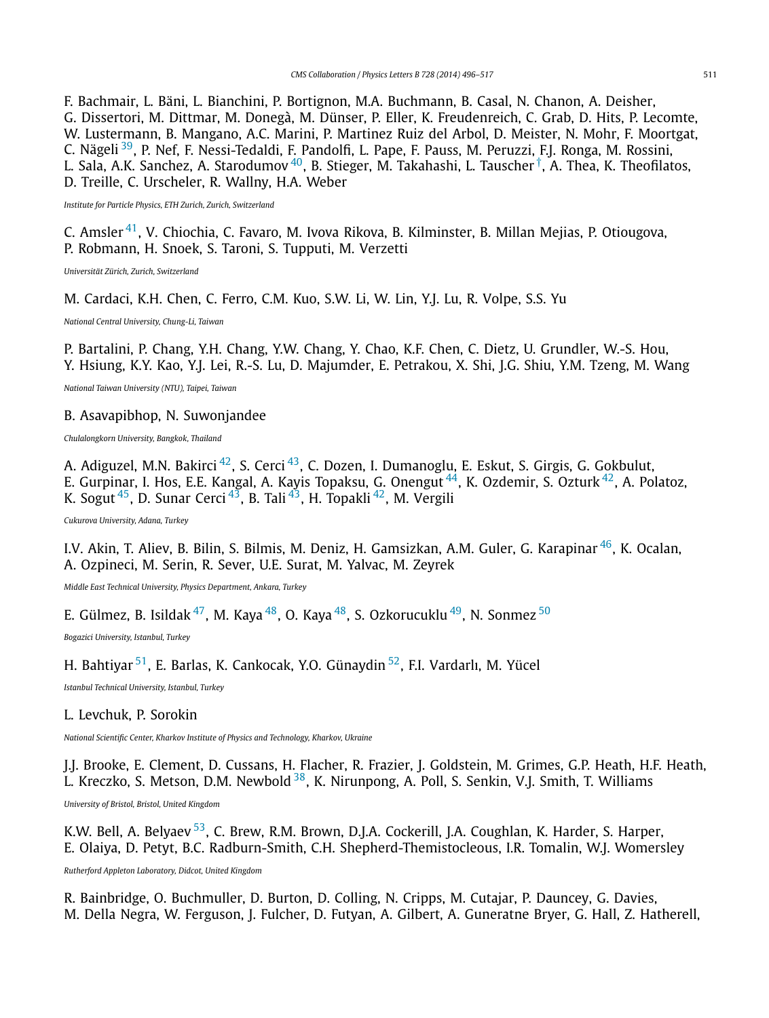F. Bachmair, L. Bäni, L. Bianchini, P. Bortignon, M.A. Buchmann, B. Casal, N. Chanon, A. Deisher, G. Dissertori, M. Dittmar, M. Donegà, M. Dünser, P. Eller, K. Freudenreich, C. Grab, D. Hits, P. Lecomte, W. Lustermann, B. Mangano, A.C. Marini, P. Martinez Ruiz del Arbol, D. Meister, N. Mohr, F. Moortgat, C. Nägeli [39,](#page-20-0) P. Nef, F. Nessi-Tedaldi, F. Pandolfi, L. Pape, F. Pauss, M. Peruzzi, F.J. Ronga, M. Rossini, L. Sala, A.K. Sanchez, A. Starodumov<sup>40</sup>, B. Stieger, M. Takahashi, L. Tauscher<sup>[†](#page-20-0)</sup>, A. Thea, K. Theofilatos, D. Treille, C. Urscheler, R. Wallny, H.A. Weber

*Institute for Particle Physics, ETH Zurich, Zurich, Switzerland*

C. Amsler [41,](#page-20-0) V. Chiochia, C. Favaro, M. Ivova Rikova, B. Kilminster, B. Millan Mejias, P. Otiougova, P. Robmann, H. Snoek, S. Taroni, S. Tupputi, M. Verzetti

*Universität Zürich, Zurich, Switzerland*

M. Cardaci, K.H. Chen, C. Ferro, C.M. Kuo, S.W. Li, W. Lin, Y.J. Lu, R. Volpe, S.S. Yu

*National Central University, Chung-Li, Taiwan*

P. Bartalini, P. Chang, Y.H. Chang, Y.W. Chang, Y. Chao, K.F. Chen, C. Dietz, U. Grundler, W.-S. Hou, Y. Hsiung, K.Y. Kao, Y.J. Lei, R.-S. Lu, D. Majumder, E. Petrakou, X. Shi, J.G. Shiu, Y.M. Tzeng, M. Wang

*National Taiwan University (NTU), Taipei, Taiwan*

### B. Asavapibhop, N. Suwonjandee

*Chulalongkorn University, Bangkok, Thailand*

A. Adiguzel, M.N. Bakirci<sup>42</sup>, S. Cerci<sup>43</sup>, C. Dozen, I. Dumanoglu, E. Eskut, S. Girgis, G. Gokbulut, E. Gurpinar, I. Hos, E.E. Kangal, A. Kayis Topaksu, G. Onengut<sup>44</sup>, K. Ozdemir, S. Ozturk<sup>42</sup>, A. Polatoz, K. Sogut  $45$ , D. Sunar Cerci  $43$ , B. Tali  $43$ , H. Topakli  $42$ , M. Vergili

*Cukurova University, Adana, Turkey*

I.V. Akin, T. Aliev, B. Bilin, S. Bilmis, M. Deniz, H. Gamsizkan, A.M. Guler, G. Karapinar <sup>46</sup>, K. Ocalan, A. Ozpineci, M. Serin, R. Sever, U.E. Surat, M. Yalvac, M. Zeyrek

*Middle East Technical University, Physics Department, Ankara, Turkey*

E. Gülmez, B. Isildak [47,](#page-20-0) M. Kaya [48,](#page-20-0) O. Kaya [48,](#page-20-0) S. Ozkorucuklu [49,](#page-20-0) N. Sonmez [50](#page-20-0)

*Bogazici University, Istanbul, Turkey*

H. Bahtiyar [51,](#page-20-0) E. Barlas, K. Cankocak, Y.O. Günaydin [52,](#page-20-0) F.I. Vardarlı, M. Yücel

*Istanbul Technical University, Istanbul, Turkey*

### L. Levchuk, P. Sorokin

*National Scientific Center, Kharkov Institute of Physics and Technology, Kharkov, Ukraine*

J.J. Brooke, E. Clement, D. Cussans, H. Flacher, R. Frazier, J. Goldstein, M. Grimes, G.P. Heath, H.F. Heath, L. Kreczko, S. Metson, D.M. Newbold [38,](#page-20-0) K. Nirunpong, A. Poll, S. Senkin, V.J. Smith, T. Williams

*University of Bristol, Bristol, United Kingdom*

K.W. Bell, A. Belyaev<sup>53</sup>, C. Brew, R.M. Brown, D.J.A. Cockerill, J.A. Coughlan, K. Harder, S. Harper, E. Olaiya, D. Petyt, B.C. Radburn-Smith, C.H. Shepherd-Themistocleous, I.R. Tomalin, W.J. Womersley

*Rutherford Appleton Laboratory, Didcot, United Kingdom*

R. Bainbridge, O. Buchmuller, D. Burton, D. Colling, N. Cripps, M. Cutajar, P. Dauncey, G. Davies, M. Della Negra, W. Ferguson, J. Fulcher, D. Futyan, A. Gilbert, A. Guneratne Bryer, G. Hall, Z. Hatherell,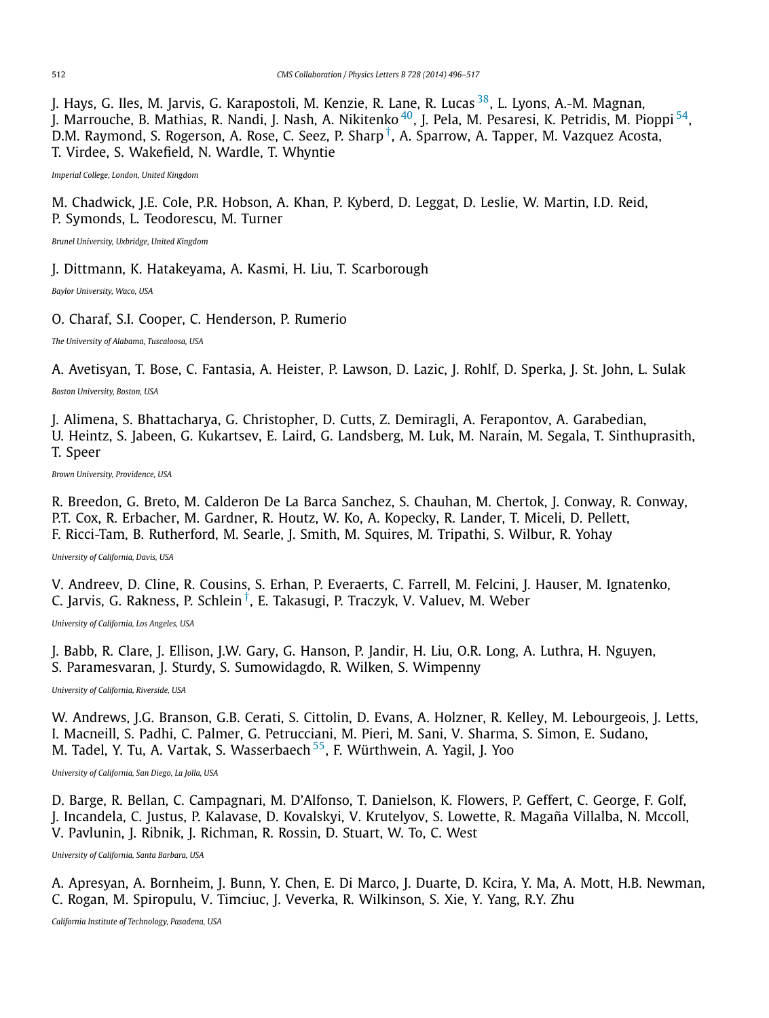J. Hays, G. Iles, M. Jarvis, G. Karapostoli, M. Kenzie, R. Lane, R. Lucas<sup>38</sup>, L. Lyons, A.-M. Magnan, J. Marrouche, B. Mathias, R. Nandi, J. Nash, A. Nikitenko [40,](#page-20-0) J. Pela, M. Pesaresi, K. Petridis, M. Pioppi [54,](#page-21-0) D.M. Raymond, S. Rogerson, A. Rose, C. Seez, P. Sharp [†,](#page-20-0) A. Sparrow, A. Tapper, M. Vazquez Acosta, T. Virdee, S. Wakefield, N. Wardle, T. Whyntie

*Imperial College, London, United Kingdom*

M. Chadwick, J.E. Cole, P.R. Hobson, A. Khan, P. Kyberd, D. Leggat, D. Leslie, W. Martin, I.D. Reid, P. Symonds, L. Teodorescu, M. Turner

*Brunel University, Uxbridge, United Kingdom*

J. Dittmann, K. Hatakeyama, A. Kasmi, H. Liu, T. Scarborough

*Baylor University, Waco, USA*

### O. Charaf, S.I. Cooper, C. Henderson, P. Rumerio

*The University of Alabama, Tuscaloosa, USA*

A. Avetisyan, T. Bose, C. Fantasia, A. Heister, P. Lawson, D. Lazic, J. Rohlf, D. Sperka, J. St. John, L. Sulak

*Boston University, Boston, USA*

J. Alimena, S. Bhattacharya, G. Christopher, D. Cutts, Z. Demiragli, A. Ferapontov, A. Garabedian, U. Heintz, S. Jabeen, G. Kukartsev, E. Laird, G. Landsberg, M. Luk, M. Narain, M. Segala, T. Sinthuprasith, T. Speer

*Brown University, Providence, USA*

R. Breedon, G. Breto, M. Calderon De La Barca Sanchez, S. Chauhan, M. Chertok, J. Conway, R. Conway, P.T. Cox, R. Erbacher, M. Gardner, R. Houtz, W. Ko, A. Kopecky, R. Lander, T. Miceli, D. Pellett, F. Ricci-Tam, B. Rutherford, M. Searle, J. Smith, M. Squires, M. Tripathi, S. Wilbur, R. Yohay

*University of California, Davis, USA*

V. Andreev, D. Cline, R. Cousins, S. Erhan, P. Everaerts, C. Farrell, M. Felcini, J. Hauser, M. Ignatenko, C. Jarvis, G. Rakness, P. Schlein  $^{\dagger}$ , E. Takasugi, P. Traczyk, V. Valuev, M. Weber

*University of California, Los Angeles, USA*

J. Babb, R. Clare, J. Ellison, J.W. Gary, G. Hanson, P. Jandir, H. Liu, O.R. Long, A. Luthra, H. Nguyen, S. Paramesvaran, J. Sturdy, S. Sumowidagdo, R. Wilken, S. Wimpenny

*University of California, Riverside, USA*

W. Andrews, J.G. Branson, G.B. Cerati, S. Cittolin, D. Evans, A. Holzner, R. Kelley, M. Lebourgeois, J. Letts, I. Macneill, S. Padhi, C. Palmer, G. Petrucciani, M. Pieri, M. Sani, V. Sharma, S. Simon, E. Sudano, M. Tadel, Y. Tu, A. Vartak, S. Wasserbaech<sup>55</sup>, F. Würthwein, A. Yagil, J. Yoo

*University of California, San Diego, La Jolla, USA*

D. Barge, R. Bellan, C. Campagnari, M. D'Alfonso, T. Danielson, K. Flowers, P. Geffert, C. George, F. Golf, J. Incandela, C. Justus, P. Kalavase, D. Kovalskyi, V. Krutelyov, S. Lowette, R. Magaña Villalba, N. Mccoll, V. Pavlunin, J. Ribnik, J. Richman, R. Rossin, D. Stuart, W. To, C. West

*University of California, Santa Barbara, USA*

A. Apresyan, A. Bornheim, J. Bunn, Y. Chen, E. Di Marco, J. Duarte, D. Kcira, Y. Ma, A. Mott, H.B. Newman, C. Rogan, M. Spiropulu, V. Timciuc, J. Veverka, R. Wilkinson, S. Xie, Y. Yang, R.Y. Zhu

*California Institute of Technology, Pasadena, USA*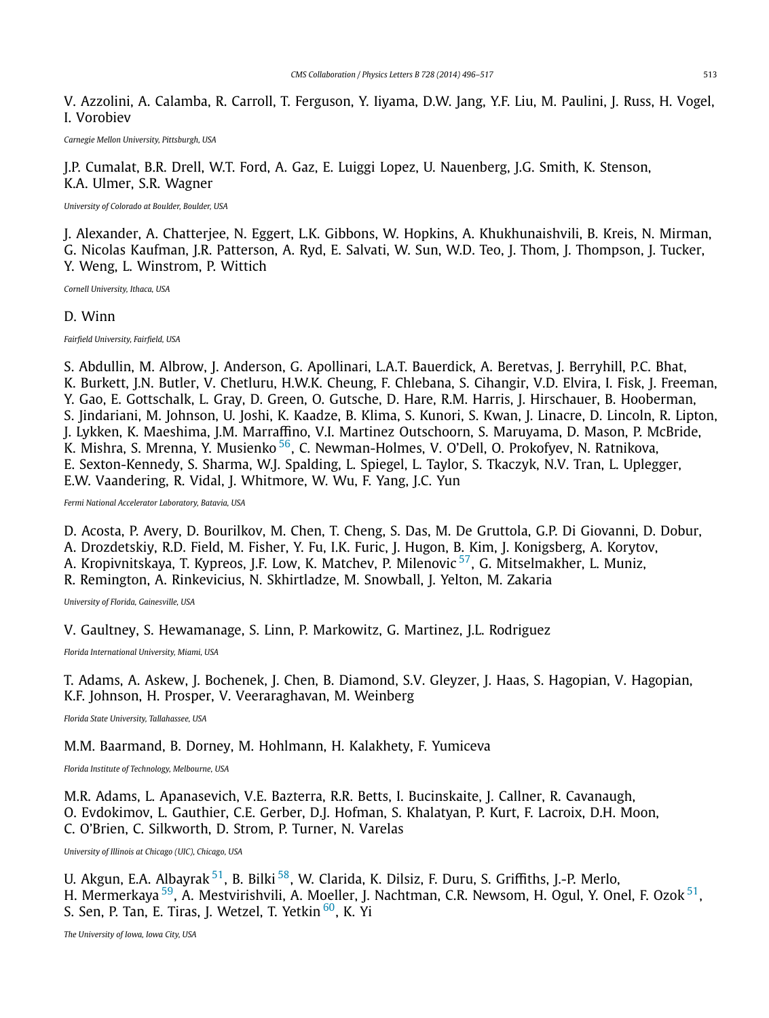V. Azzolini, A. Calamba, R. Carroll, T. Ferguson, Y. Iiyama, D.W. Jang, Y.F. Liu, M. Paulini, J. Russ, H. Vogel, I. Vorobiev

*Carnegie Mellon University, Pittsburgh, USA*

J.P. Cumalat, B.R. Drell, W.T. Ford, A. Gaz, E. Luiggi Lopez, U. Nauenberg, J.G. Smith, K. Stenson, K.A. Ulmer, S.R. Wagner

*University of Colorado at Boulder, Boulder, USA*

J. Alexander, A. Chatterjee, N. Eggert, L.K. Gibbons, W. Hopkins, A. Khukhunaishvili, B. Kreis, N. Mirman, G. Nicolas Kaufman, J.R. Patterson, A. Ryd, E. Salvati, W. Sun, W.D. Teo, J. Thom, J. Thompson, J. Tucker, Y. Weng, L. Winstrom, P. Wittich

*Cornell University, Ithaca, USA*

#### D. Winn

*Fairfield University, Fairfield, USA*

S. Abdullin, M. Albrow, J. Anderson, G. Apollinari, L.A.T. Bauerdick, A. Beretvas, J. Berryhill, P.C. Bhat, K. Burkett, J.N. Butler, V. Chetluru, H.W.K. Cheung, F. Chlebana, S. Cihangir, V.D. Elvira, I. Fisk, J. Freeman, Y. Gao, E. Gottschalk, L. Gray, D. Green, O. Gutsche, D. Hare, R.M. Harris, J. Hirschauer, B. Hooberman, S. Jindariani, M. Johnson, U. Joshi, K. Kaadze, B. Klima, S. Kunori, S. Kwan, J. Linacre, D. Lincoln, R. Lipton, J. Lykken, K. Maeshima, J.M. Marraffino, V.I. Martinez Outschoorn, S. Maruyama, D. Mason, P. McBride, K. Mishra, S. Mrenna, Y. Musienko <sup>56</sup>, C. Newman-Holmes, V. O'Dell, O. Prokofyev, N. Ratnikova, E. Sexton-Kennedy, S. Sharma, W.J. Spalding, L. Spiegel, L. Taylor, S. Tkaczyk, N.V. Tran, L. Uplegger, E.W. Vaandering, R. Vidal, J. Whitmore, W. Wu, F. Yang, J.C. Yun

*Fermi National Accelerator Laboratory, Batavia, USA*

D. Acosta, P. Avery, D. Bourilkov, M. Chen, T. Cheng, S. Das, M. De Gruttola, G.P. Di Giovanni, D. Dobur, A. Drozdetskiy, R.D. Field, M. Fisher, Y. Fu, I.K. Furic, J. Hugon, B. Kim, J. Konigsberg, A. Korytov, A. Kropivnitskaya, T. Kypreos, J.F. Low, K. Matchev, P. Milenovic [57,](#page-21-0) G. Mitselmakher, L. Muniz, R. Remington, A. Rinkevicius, N. Skhirtladze, M. Snowball, J. Yelton, M. Zakaria

*University of Florida, Gainesville, USA*

V. Gaultney, S. Hewamanage, S. Linn, P. Markowitz, G. Martinez, J.L. Rodriguez

*Florida International University, Miami, USA*

T. Adams, A. Askew, J. Bochenek, J. Chen, B. Diamond, S.V. Gleyzer, J. Haas, S. Hagopian, V. Hagopian, K.F. Johnson, H. Prosper, V. Veeraraghavan, M. Weinberg

*Florida State University, Tallahassee, USA*

M.M. Baarmand, B. Dorney, M. Hohlmann, H. Kalakhety, F. Yumiceva

*Florida Institute of Technology, Melbourne, USA*

M.R. Adams, L. Apanasevich, V.E. Bazterra, R.R. Betts, I. Bucinskaite, J. Callner, R. Cavanaugh, O. Evdokimov, L. Gauthier, C.E. Gerber, D.J. Hofman, S. Khalatyan, P. Kurt, F. Lacroix, D.H. Moon, C. O'Brien, C. Silkworth, D. Strom, P. Turner, N. Varelas

*University of Illinois at Chicago (UIC), Chicago, USA*

U. Akgun, E.A. Albayrak <sup>51</sup>, B. Bilki <sup>58</sup>, W. Clarida, K. Dilsiz, F. Duru, S. Griffiths, J.-P. Merlo, H. Mermerkaya [59,](#page-21-0) A. Mestvirishvili, A. Moeller, J. Nachtman, C.R. Newsom, H. Ogul, Y. Onel, F. Ozok [51,](#page-20-0) S. Sen, P. Tan, E. Tiras, J. Wetzel, T. Yetkin <sup>60</sup>, K. Yi

*The University of Iowa, Iowa City, USA*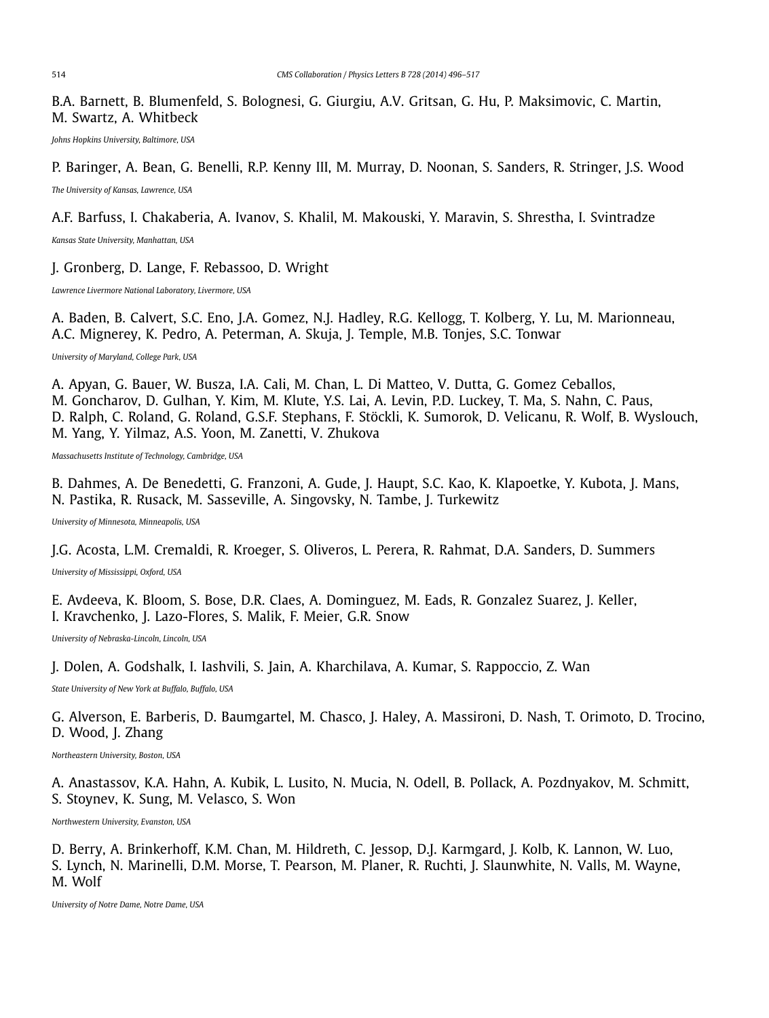### B.A. Barnett, B. Blumenfeld, S. Bolognesi, G. Giurgiu, A.V. Gritsan, G. Hu, P. Maksimovic, C. Martin, M. Swartz, A. Whitbeck

*Johns Hopkins University, Baltimore, USA*

P. Baringer, A. Bean, G. Benelli, R.P. Kenny III, M. Murray, D. Noonan, S. Sanders, R. Stringer, J.S. Wood *The University of Kansas, Lawrence, USA*

A.F. Barfuss, I. Chakaberia, A. Ivanov, S. Khalil, M. Makouski, Y. Maravin, S. Shrestha, I. Svintradze

*Kansas State University, Manhattan, USA*

J. Gronberg, D. Lange, F. Rebassoo, D. Wright

*Lawrence Livermore National Laboratory, Livermore, USA*

A. Baden, B. Calvert, S.C. Eno, J.A. Gomez, N.J. Hadley, R.G. Kellogg, T. Kolberg, Y. Lu, M. Marionneau, A.C. Mignerey, K. Pedro, A. Peterman, A. Skuja, J. Temple, M.B. Tonjes, S.C. Tonwar

*University of Maryland, College Park, USA*

A. Apyan, G. Bauer, W. Busza, I.A. Cali, M. Chan, L. Di Matteo, V. Dutta, G. Gomez Ceballos, M. Goncharov, D. Gulhan, Y. Kim, M. Klute, Y.S. Lai, A. Levin, P.D. Luckey, T. Ma, S. Nahn, C. Paus, D. Ralph, C. Roland, G. Roland, G.S.F. Stephans, F. Stöckli, K. Sumorok, D. Velicanu, R. Wolf, B. Wyslouch, M. Yang, Y. Yilmaz, A.S. Yoon, M. Zanetti, V. Zhukova

*Massachusetts Institute of Technology, Cambridge, USA*

B. Dahmes, A. De Benedetti, G. Franzoni, A. Gude, J. Haupt, S.C. Kao, K. Klapoetke, Y. Kubota, J. Mans, N. Pastika, R. Rusack, M. Sasseville, A. Singovsky, N. Tambe, J. Turkewitz

*University of Minnesota, Minneapolis, USA*

J.G. Acosta, L.M. Cremaldi, R. Kroeger, S. Oliveros, L. Perera, R. Rahmat, D.A. Sanders, D. Summers

*University of Mississippi, Oxford, USA*

E. Avdeeva, K. Bloom, S. Bose, D.R. Claes, A. Dominguez, M. Eads, R. Gonzalez Suarez, J. Keller, I. Kravchenko, J. Lazo-Flores, S. Malik, F. Meier, G.R. Snow

*University of Nebraska-Lincoln, Lincoln, USA*

J. Dolen, A. Godshalk, I. Iashvili, S. Jain, A. Kharchilava, A. Kumar, S. Rappoccio, Z. Wan

*State University of New York at Buffalo, Buffalo, USA*

G. Alverson, E. Barberis, D. Baumgartel, M. Chasco, J. Haley, A. Massironi, D. Nash, T. Orimoto, D. Trocino, D. Wood, J. Zhang

*Northeastern University, Boston, USA*

A. Anastassov, K.A. Hahn, A. Kubik, L. Lusito, N. Mucia, N. Odell, B. Pollack, A. Pozdnyakov, M. Schmitt, S. Stoynev, K. Sung, M. Velasco, S. Won

*Northwestern University, Evanston, USA*

D. Berry, A. Brinkerhoff, K.M. Chan, M. Hildreth, C. Jessop, D.J. Karmgard, J. Kolb, K. Lannon, W. Luo, S. Lynch, N. Marinelli, D.M. Morse, T. Pearson, M. Planer, R. Ruchti, J. Slaunwhite, N. Valls, M. Wayne, M. Wolf

*University of Notre Dame, Notre Dame, USA*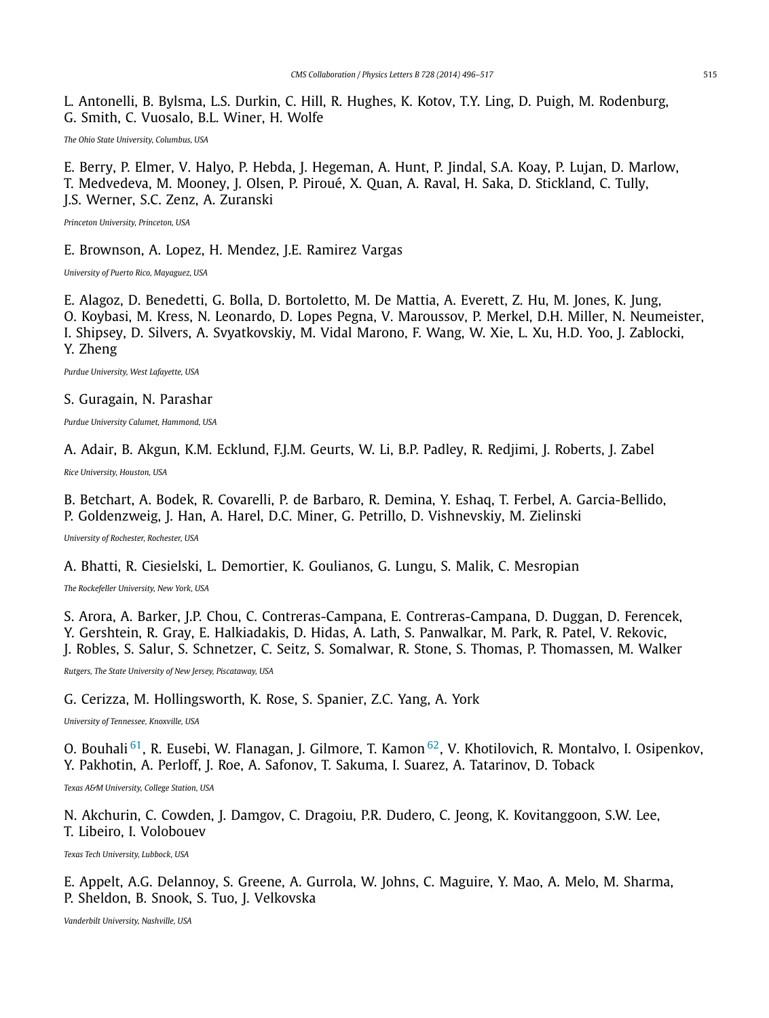L. Antonelli, B. Bylsma, L.S. Durkin, C. Hill, R. Hughes, K. Kotov, T.Y. Ling, D. Puigh, M. Rodenburg, G. Smith, C. Vuosalo, B.L. Winer, H. Wolfe

*The Ohio State University, Columbus, USA*

E. Berry, P. Elmer, V. Halyo, P. Hebda, J. Hegeman, A. Hunt, P. Jindal, S.A. Koay, P. Lujan, D. Marlow, T. Medvedeva, M. Mooney, J. Olsen, P. Piroué, X. Quan, A. Raval, H. Saka, D. Stickland, C. Tully, J.S. Werner, S.C. Zenz, A. Zuranski

*Princeton University, Princeton, USA*

E. Brownson, A. Lopez, H. Mendez, J.E. Ramirez Vargas

*University of Puerto Rico, Mayaguez, USA*

E. Alagoz, D. Benedetti, G. Bolla, D. Bortoletto, M. De Mattia, A. Everett, Z. Hu, M. Jones, K. Jung, O. Koybasi, M. Kress, N. Leonardo, D. Lopes Pegna, V. Maroussov, P. Merkel, D.H. Miller, N. Neumeister, I. Shipsey, D. Silvers, A. Svyatkovskiy, M. Vidal Marono, F. Wang, W. Xie, L. Xu, H.D. Yoo, J. Zablocki, Y. Zheng

*Purdue University, West Lafayette, USA*

#### S. Guragain, N. Parashar

*Purdue University Calumet, Hammond, USA*

A. Adair, B. Akgun, K.M. Ecklund, F.J.M. Geurts, W. Li, B.P. Padley, R. Redjimi, J. Roberts, J. Zabel

*Rice University, Houston, USA*

B. Betchart, A. Bodek, R. Covarelli, P. de Barbaro, R. Demina, Y. Eshaq, T. Ferbel, A. Garcia-Bellido, P. Goldenzweig, J. Han, A. Harel, D.C. Miner, G. Petrillo, D. Vishnevskiy, M. Zielinski

*University of Rochester, Rochester, USA*

A. Bhatti, R. Ciesielski, L. Demortier, K. Goulianos, G. Lungu, S. Malik, C. Mesropian

*The Rockefeller University, New York, USA*

S. Arora, A. Barker, J.P. Chou, C. Contreras-Campana, E. Contreras-Campana, D. Duggan, D. Ferencek, Y. Gershtein, R. Gray, E. Halkiadakis, D. Hidas, A. Lath, S. Panwalkar, M. Park, R. Patel, V. Rekovic, J. Robles, S. Salur, S. Schnetzer, C. Seitz, S. Somalwar, R. Stone, S. Thomas, P. Thomassen, M. Walker

*Rutgers, The State University of New Jersey, Piscataway, USA*

G. Cerizza, M. Hollingsworth, K. Rose, S. Spanier, Z.C. Yang, A. York

*University of Tennessee, Knoxville, USA*

O. Bouhali <sup>[61](#page-21-0)</sup>, R. Eusebi, W. Flanagan, J. Gilmore, T. Kamon <sup>62</sup>, V. Khotilovich, R. Montalvo, I. Osipenkov, Y. Pakhotin, A. Perloff, J. Roe, A. Safonov, T. Sakuma, I. Suarez, A. Tatarinov, D. Toback

*Texas A&M University, College Station, USA*

N. Akchurin, C. Cowden, J. Damgov, C. Dragoiu, P.R. Dudero, C. Jeong, K. Kovitanggoon, S.W. Lee, T. Libeiro, I. Volobouev

*Texas Tech University, Lubbock, USA*

E. Appelt, A.G. Delannoy, S. Greene, A. Gurrola, W. Johns, C. Maguire, Y. Mao, A. Melo, M. Sharma, P. Sheldon, B. Snook, S. Tuo, J. Velkovska

*Vanderbilt University, Nashville, USA*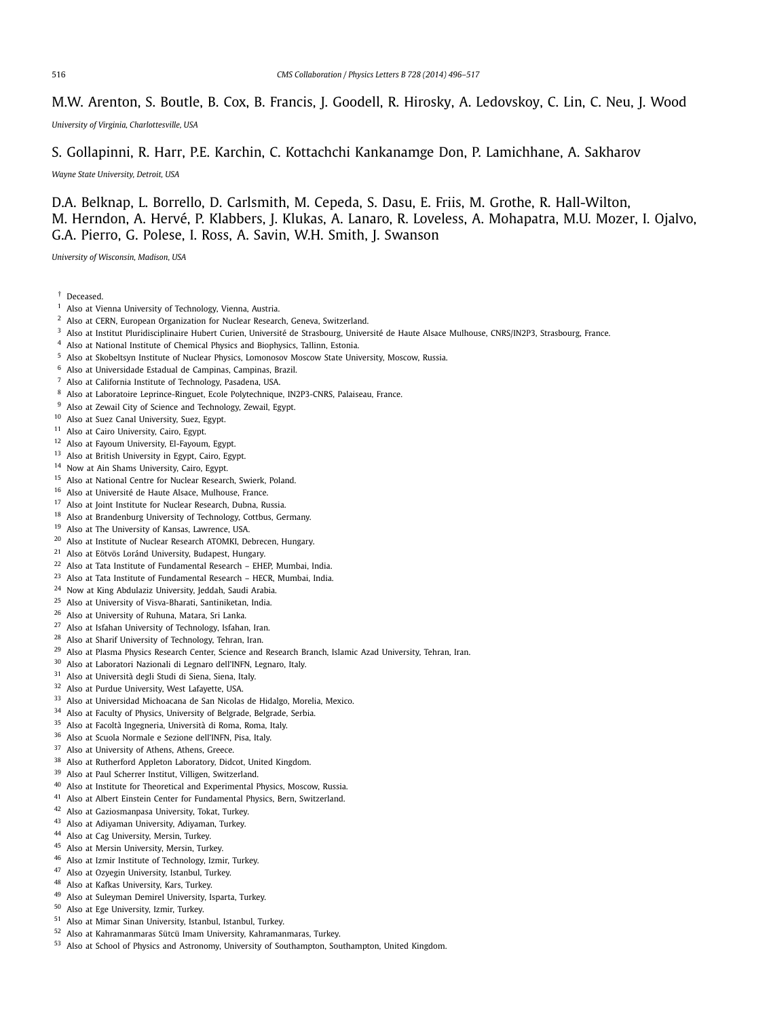### <span id="page-20-0"></span>M.W. Arenton, S. Boutle, B. Cox, B. Francis, J. Goodell, R. Hirosky, A. Ledovskoy, C. Lin, C. Neu, J. Wood

*University of Virginia, Charlottesville, USA*

#### S. Gollapinni, R. Harr, P.E. Karchin, C. Kottachchi Kankanamge Don, P. Lamichhane, A. Sakharov

*Wayne State University, Detroit, USA*

D.A. Belknap, L. Borrello, D. Carlsmith, M. Cepeda, S. Dasu, E. Friis, M. Grothe, R. Hall-Wilton, M. Herndon, A. Hervé, P. Klabbers, J. Klukas, A. Lanaro, R. Loveless, A. Mohapatra, M.U. Mozer, I. Ojalvo, G.A. Pierro, G. Polese, I. Ross, A. Savin, W.H. Smith, J. Swanson

*University of Wisconsin, Madison, USA*

- † Deceased.
- Also at Vienna University of Technology, Vienna, Austria.
- <sup>2</sup> Also at CERN, European Organization for Nuclear Research, Geneva, Switzerland.
- Also at Institut Pluridisciplinaire Hubert Curien, Université de Strasbourg, Université de Haute Alsace Mulhouse, CNRS/IN2P3, Strasbourg, France.
- Also at National Institute of Chemical Physics and Biophysics, Tallinn, Estonia.
- Also at Skobeltsyn Institute of Nuclear Physics, Lomonosov Moscow State University, Moscow, Russia.
- Also at Universidade Estadual de Campinas, Campinas, Brazil.
- Also at California Institute of Technology, Pasadena, USA.
- Also at Laboratoire Leprince-Ringuet, Ecole Polytechnique, IN2P3-CNRS, Palaiseau, France.
- <sup>9</sup> Also at Zewail City of Science and Technology, Zewail, Egypt.
- Also at Suez Canal University, Suez, Egypt.
- 11 Also at Cairo University, Cairo, Egypt.
- Also at Fayoum University, El-Fayoum, Egypt.
- Also at British University in Egypt, Cairo, Egypt.
- <sup>14</sup> Now at Ain Shams University, Cairo, Egypt.
- Also at National Centre for Nuclear Research, Swierk, Poland.
- Also at Université de Haute Alsace, Mulhouse, France.
- Also at Joint Institute for Nuclear Research, Dubna, Russia.
- Also at Brandenburg University of Technology, Cottbus, Germany.
- Also at The University of Kansas, Lawrence, USA.
- Also at Institute of Nuclear Research ATOMKI, Debrecen, Hungary.
- Also at Eötvös Loránd University, Budapest, Hungary.
- Also at Tata Institute of Fundamental Research EHEP, Mumbai, India.
- Also at Tata Institute of Fundamental Research HECR, Mumbai, India.
- Now at King Abdulaziz University, Jeddah, Saudi Arabia.
- Also at University of Visva-Bharati, Santiniketan, India.
- Also at University of Ruhuna, Matara, Sri Lanka.
- Also at Isfahan University of Technology, Isfahan, Iran.
- Also at Sharif University of Technology, Tehran, Iran.
- <sup>29</sup> Also at Plasma Physics Research Center, Science and Research Branch, Islamic Azad University, Tehran, Iran.
- Also at Laboratori Nazionali di Legnaro dell'INFN, Legnaro, Italy.
- Also at Università degli Studi di Siena, Siena, Italy.
- Also at Purdue University, West Lafayette, USA.
- Also at Universidad Michoacana de San Nicolas de Hidalgo, Morelia, Mexico.
- Also at Faculty of Physics, University of Belgrade, Belgrade, Serbia.
- Also at Facoltà Ingegneria, Università di Roma, Roma, Italy.
- Also at Scuola Normale e Sezione dell'INFN, Pisa, Italy.
- Also at University of Athens, Athens, Greece.
- Also at Rutherford Appleton Laboratory, Didcot, United Kingdom.
- Also at Paul Scherrer Institut, Villigen, Switzerland.
- Also at Institute for Theoretical and Experimental Physics, Moscow, Russia.
- Also at Albert Einstein Center for Fundamental Physics, Bern, Switzerland.
- Also at Gaziosmanpasa University, Tokat, Turkey.
- Also at Adiyaman University, Adiyaman, Turkey.
- Also at Cag University, Mersin, Turkey.
- Also at Mersin University, Mersin, Turkey.
- Also at Izmir Institute of Technology, Izmir, Turkey.
- Also at Ozyegin University, Istanbul, Turkey.
- Also at Kafkas University, Kars, Turkey.
- Also at Suleyman Demirel University, Isparta, Turkey.
- Also at Ege University, Izmir, Turkey.
- Also at Mimar Sinan University, Istanbul, Istanbul, Turkey.
- Also at Kahramanmaras Sütcü Imam University, Kahramanmaras, Turkey.
- Also at School of Physics and Astronomy, University of Southampton, Southampton, United Kingdom.